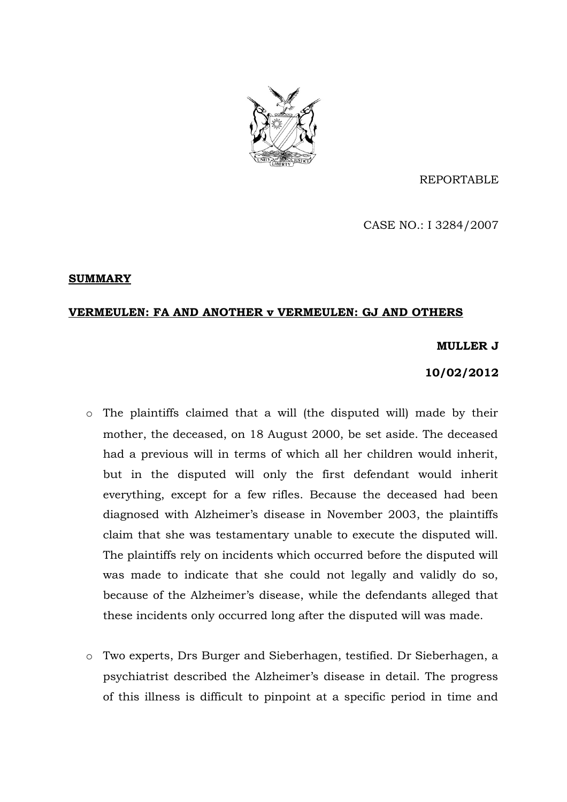

REPORTABLE

CASE NO.: I 3284/2007

# **SUMMARY**

# **VERMEULEN: FA AND ANOTHER v VERMEULEN: GJ AND OTHERS**

## **MULLER J**

# **10/02/2012**

- o The plaintiffs claimed that a will (the disputed will) made by their mother, the deceased, on 18 August 2000, be set aside. The deceased had a previous will in terms of which all her children would inherit, but in the disputed will only the first defendant would inherit everything, except for a few rifles. Because the deceased had been diagnosed with Alzheimer's disease in November 2003, the plaintiffs claim that she was testamentary unable to execute the disputed will. The plaintiffs rely on incidents which occurred before the disputed will was made to indicate that she could not legally and validly do so, because of the Alzheimer's disease, while the defendants alleged that these incidents only occurred long after the disputed will was made.
- o Two experts, Drs Burger and Sieberhagen, testified. Dr Sieberhagen, a psychiatrist described the Alzheimer's disease in detail. The progress of this illness is difficult to pinpoint at a specific period in time and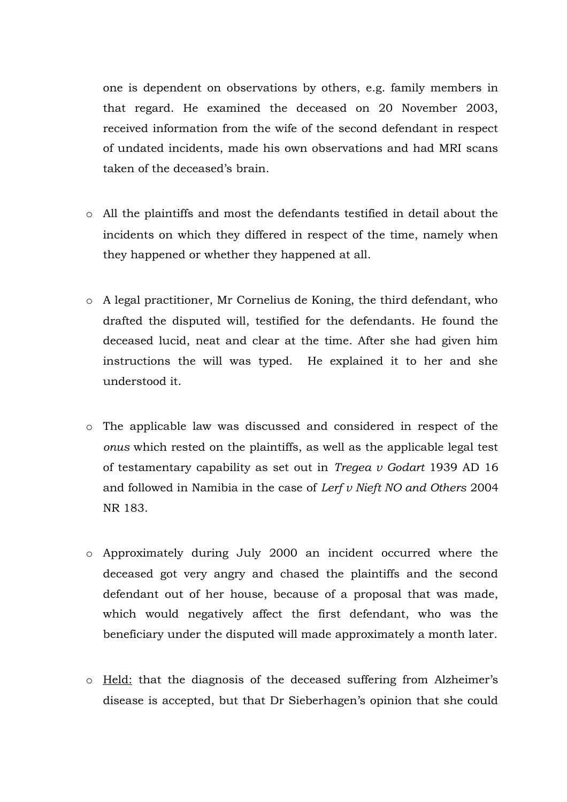one is dependent on observations by others, e.g. family members in that regard. He examined the deceased on 20 November 2003, received information from the wife of the second defendant in respect of undated incidents, made his own observations and had MRI scans taken of the deceased's brain.

- o All the plaintiffs and most the defendants testified in detail about the incidents on which they differed in respect of the time, namely when they happened or whether they happened at all.
- o A legal practitioner, Mr Cornelius de Koning, the third defendant, who drafted the disputed will, testified for the defendants. He found the deceased lucid, neat and clear at the time. After she had given him instructions the will was typed. He explained it to her and she understood it.
- o The applicable law was discussed and considered in respect of the *onus* which rested on the plaintiffs, as well as the applicable legal test of testamentary capability as set out in *Tregea v Godart* 1939 AD 16 and followed in Namibia in the case of *Lerf v Nieft NO and Others* 2004 NR 183.
- o Approximately during July 2000 an incident occurred where the deceased got very angry and chased the plaintiffs and the second defendant out of her house, because of a proposal that was made, which would negatively affect the first defendant, who was the beneficiary under the disputed will made approximately a month later.
- o Held: that the diagnosis of the deceased suffering from Alzheimer's disease is accepted, but that Dr Sieberhagen's opinion that she could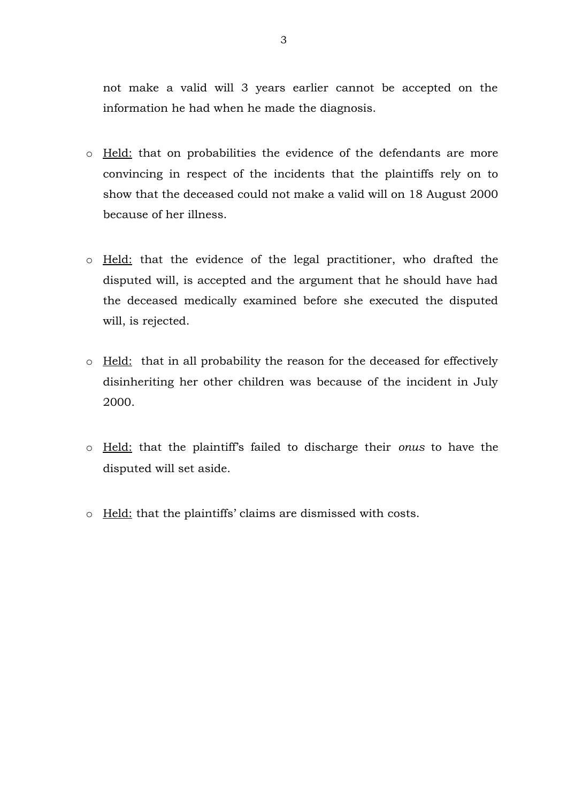not make a valid will 3 years earlier cannot be accepted on the information he had when he made the diagnosis.

- o Held: that on probabilities the evidence of the defendants are more convincing in respect of the incidents that the plaintiffs rely on to show that the deceased could not make a valid will on 18 August 2000 because of her illness.
- o Held: that the evidence of the legal practitioner, who drafted the disputed will, is accepted and the argument that he should have had the deceased medically examined before she executed the disputed will, is rejected.
- o Held:that in all probability the reason for the deceased for effectively disinheriting her other children was because of the incident in July 2000.
- o Held: that the plaintiff's failed to discharge their *onus* to have the disputed will set aside.
- o Held: that the plaintiffs' claims are dismissed with costs.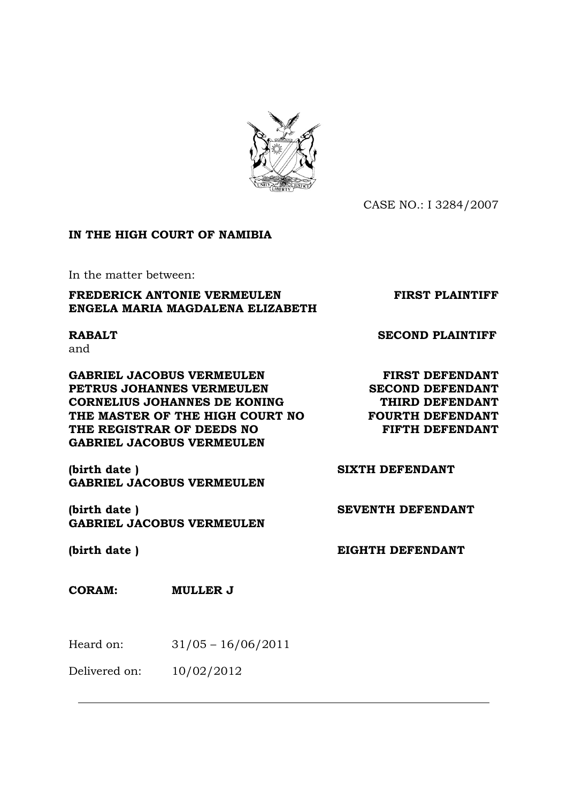

CASE NO.: I 3284/2007

# **IN THE HIGH COURT OF NAMIBIA**

In the matter between:

# **FREDERICK ANTONIE VERMEULEN FIRST PLAINTIFF ENGELA MARIA MAGDALENA ELIZABETH**

and

**GABRIEL JACOBUS VERMEULEN FIRST DEFENDANT PETRUS JOHANNES VERMEULEN SECOND DEFENDANT CORNELIUS JOHANNES DE KONING THIRD DEFENDANT THE MASTER OF THE HIGH COURT NO FOURTH DEFENDANT** THE REGISTRAR OF DEEDS NO FIFTH DEFENDANT **GABRIEL JACOBUS VERMEULEN** 

**(birth date ) SIXTH DEFENDANT GABRIEL JACOBUS VERMEULEN** 

**(birth date ) SEVENTH DEFENDANT GABRIEL JACOBUS VERMEULEN** 

 $\overline{a}$ 

# **CORAM: MULLER J**

Heard on: 31/05 – 16/06/2011

Delivered on: 10/02/2012

**RABALT SECOND PLAINTIFF**

**(birth date ) EIGHTH DEFENDANT**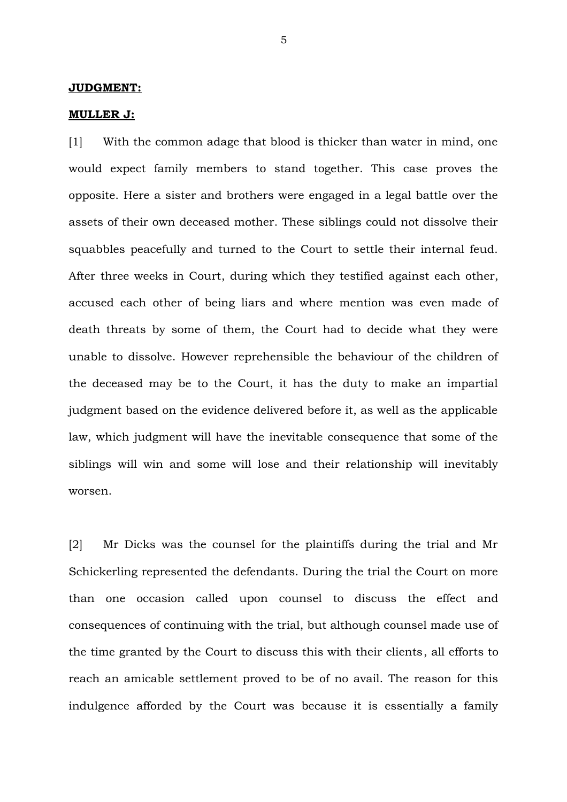#### **JUDGMENT:**

#### **MULLER J:**

[1] With the common adage that blood is thicker than water in mind, one would expect family members to stand together. This case proves the opposite. Here a sister and brothers were engaged in a legal battle over the assets of their own deceased mother. These siblings could not dissolve their squabbles peacefully and turned to the Court to settle their internal feud. After three weeks in Court, during which they testified against each other, accused each other of being liars and where mention was even made of death threats by some of them, the Court had to decide what they were unable to dissolve. However reprehensible the behaviour of the children of the deceased may be to the Court, it has the duty to make an impartial judgment based on the evidence delivered before it, as well as the applicable law, which judgment will have the inevitable consequence that some of the siblings will win and some will lose and their relationship will inevitably worsen.

[2] Mr Dicks was the counsel for the plaintiffs during the trial and Mr Schickerling represented the defendants. During the trial the Court on more than one occasion called upon counsel to discuss the effect and consequences of continuing with the trial, but although counsel made use of the time granted by the Court to discuss this with their clients, all efforts to reach an amicable settlement proved to be of no avail. The reason for this indulgence afforded by the Court was because it is essentially a family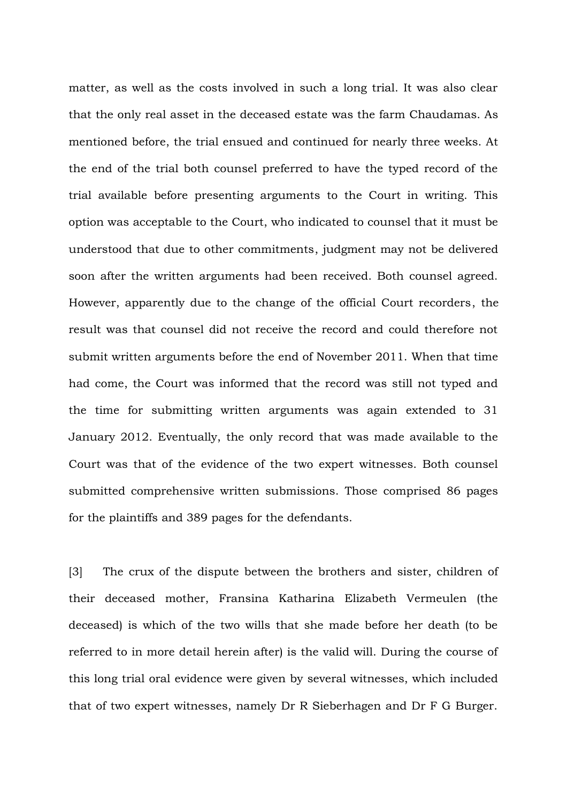matter, as well as the costs involved in such a long trial. It was also clear that the only real asset in the deceased estate was the farm Chaudamas. As mentioned before, the trial ensued and continued for nearly three weeks. At the end of the trial both counsel preferred to have the typed record of the trial available before presenting arguments to the Court in writing. This option was acceptable to the Court, who indicated to counsel that it must be understood that due to other commitments, judgment may not be delivered soon after the written arguments had been received. Both counsel agreed. However, apparently due to the change of the official Court recorders, the result was that counsel did not receive the record and could therefore not submit written arguments before the end of November 2011. When that time had come, the Court was informed that the record was still not typed and the time for submitting written arguments was again extended to 31 January 2012. Eventually, the only record that was made available to the Court was that of the evidence of the two expert witnesses. Both counsel submitted comprehensive written submissions. Those comprised 86 pages for the plaintiffs and 389 pages for the defendants.

[3] The crux of the dispute between the brothers and sister, children of their deceased mother, Fransina Katharina Elizabeth Vermeulen (the deceased) is which of the two wills that she made before her death (to be referred to in more detail herein after) is the valid will. During the course of this long trial oral evidence were given by several witnesses, which included that of two expert witnesses, namely Dr R Sieberhagen and Dr F G Burger.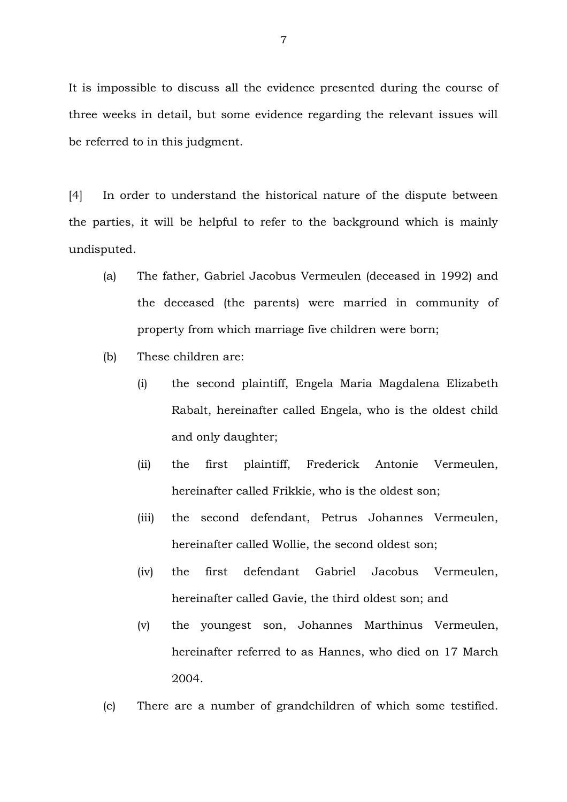It is impossible to discuss all the evidence presented during the course of three weeks in detail, but some evidence regarding the relevant issues will be referred to in this judgment.

[4] In order to understand the historical nature of the dispute between the parties, it will be helpful to refer to the background which is mainly undisputed.

- (a) The father, Gabriel Jacobus Vermeulen (deceased in 1992) and the deceased (the parents) were married in community of property from which marriage five children were born;
- (b) These children are:
	- (i) the second plaintiff, Engela Maria Magdalena Elizabeth Rabalt, hereinafter called Engela, who is the oldest child and only daughter;
	- (ii) the first plaintiff, Frederick Antonie Vermeulen, hereinafter called Frikkie, who is the oldest son;
	- (iii) the second defendant, Petrus Johannes Vermeulen, hereinafter called Wollie, the second oldest son;
	- (iv) the first defendant Gabriel Jacobus Vermeulen, hereinafter called Gavie, the third oldest son; and
	- (v) the youngest son, Johannes Marthinus Vermeulen, hereinafter referred to as Hannes, who died on 17 March 2004.
- (c) There are a number of grandchildren of which some testified.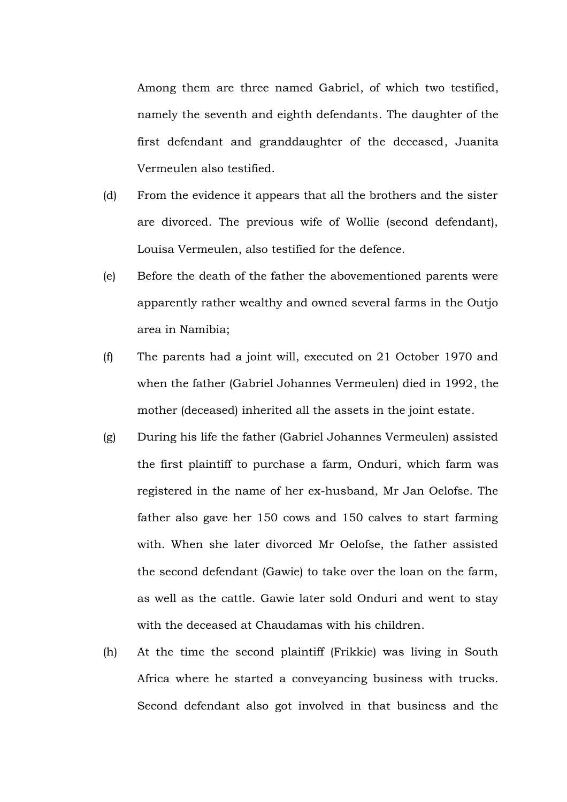Among them are three named Gabriel, of which two testified, namely the seventh and eighth defendants. The daughter of the first defendant and granddaughter of the deceased, Juanita Vermeulen also testified.

- (d) From the evidence it appears that all the brothers and the sister are divorced. The previous wife of Wollie (second defendant), Louisa Vermeulen, also testified for the defence.
- (e) Before the death of the father the abovementioned parents were apparently rather wealthy and owned several farms in the Outjo area in Namibia;
- (f) The parents had a joint will, executed on 21 October 1970 and when the father (Gabriel Johannes Vermeulen) died in 1992, the mother (deceased) inherited all the assets in the joint estate.
- (g) During his life the father (Gabriel Johannes Vermeulen) assisted the first plaintiff to purchase a farm, Onduri, which farm was registered in the name of her ex-husband, Mr Jan Oelofse. The father also gave her 150 cows and 150 calves to start farming with. When she later divorced Mr Oelofse, the father assisted the second defendant (Gawie) to take over the loan on the farm, as well as the cattle. Gawie later sold Onduri and went to stay with the deceased at Chaudamas with his children.
- (h) At the time the second plaintiff (Frikkie) was living in South Africa where he started a conveyancing business with trucks. Second defendant also got involved in that business and the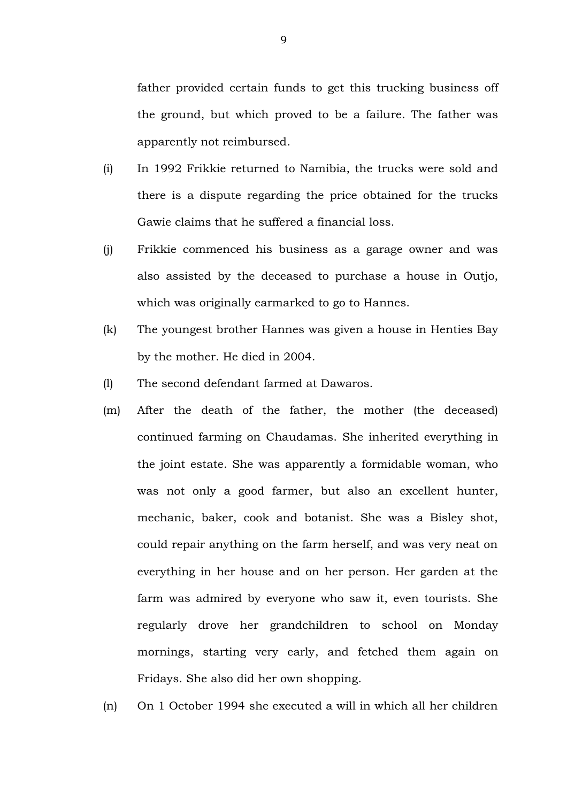father provided certain funds to get this trucking business off the ground, but which proved to be a failure. The father was apparently not reimbursed.

- (i) In 1992 Frikkie returned to Namibia, the trucks were sold and there is a dispute regarding the price obtained for the trucks Gawie claims that he suffered a financial loss.
- (j) Frikkie commenced his business as a garage owner and was also assisted by the deceased to purchase a house in Outjo, which was originally earmarked to go to Hannes.
- (k) The youngest brother Hannes was given a house in Henties Bay by the mother. He died in 2004.
- (l) The second defendant farmed at Dawaros.
- (m) After the death of the father, the mother (the deceased) continued farming on Chaudamas. She inherited everything in the joint estate. She was apparently a formidable woman, who was not only a good farmer, but also an excellent hunter, mechanic, baker, cook and botanist. She was a Bisley shot, could repair anything on the farm herself, and was very neat on everything in her house and on her person. Her garden at the farm was admired by everyone who saw it, even tourists. She regularly drove her grandchildren to school on Monday mornings, starting very early, and fetched them again on Fridays. She also did her own shopping.
- (n) On 1 October 1994 she executed a will in which all her children

9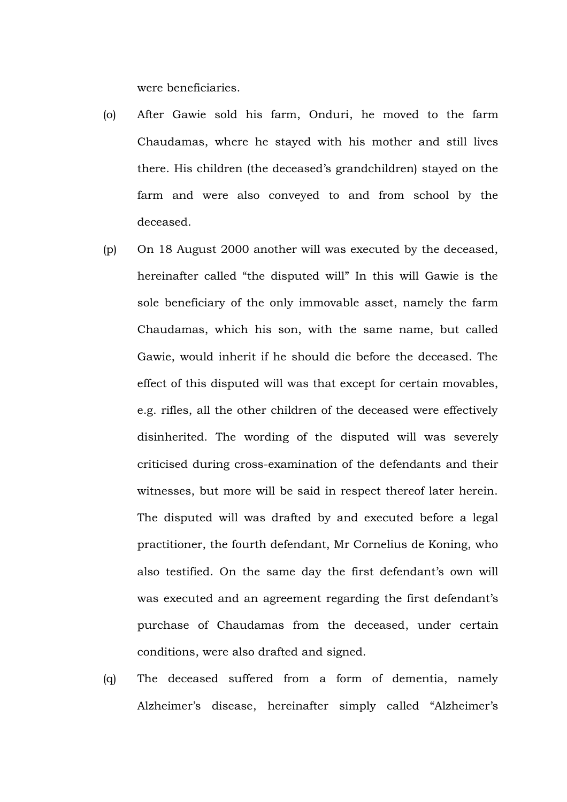were beneficiaries.

- (o) After Gawie sold his farm, Onduri, he moved to the farm Chaudamas, where he stayed with his mother and still lives there. His children (the deceased's grandchildren) stayed on the farm and were also conveyed to and from school by the deceased.
- (p) On 18 August 2000 another will was executed by the deceased, hereinafter called "the disputed will" In this will Gawie is the sole beneficiary of the only immovable asset, namely the farm Chaudamas, which his son, with the same name, but called Gawie, would inherit if he should die before the deceased. The effect of this disputed will was that except for certain movables, e.g. rifles, all the other children of the deceased were effectively disinherited. The wording of the disputed will was severely criticised during cross-examination of the defendants and their witnesses, but more will be said in respect thereof later herein. The disputed will was drafted by and executed before a legal practitioner, the fourth defendant, Mr Cornelius de Koning, who also testified. On the same day the first defendant's own will was executed and an agreement regarding the first defendant's purchase of Chaudamas from the deceased, under certain conditions, were also drafted and signed.
- (q) The deceased suffered from a form of dementia, namely Alzheimer's disease, hereinafter simply called "Alzheimer's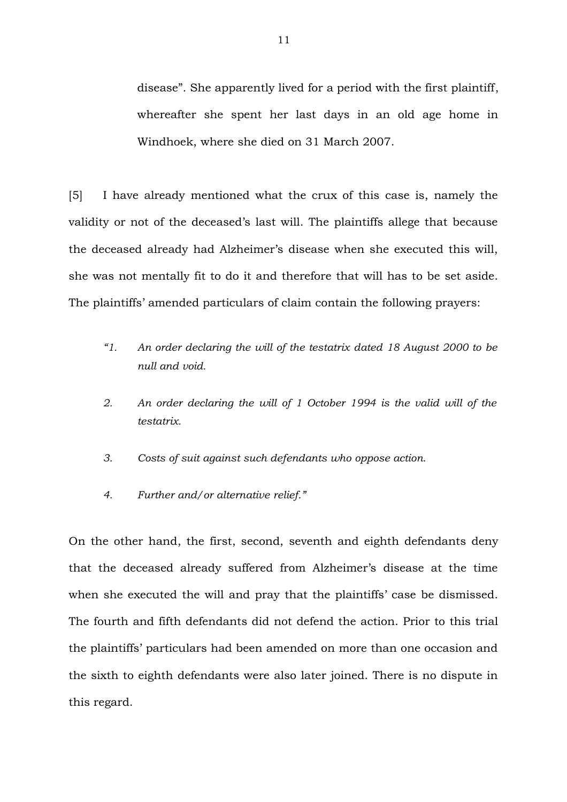disease". She apparently lived for a period with the first plaintiff, whereafter she spent her last days in an old age home in Windhoek, where she died on 31 March 2007.

[5] I have already mentioned what the crux of this case is, namely the validity or not of the deceased's last will. The plaintiffs allege that because the deceased already had Alzheimer's disease when she executed this will, she was not mentally fit to do it and therefore that will has to be set aside. The plaintiffs' amended particulars of claim contain the following prayers:

- *"1. An order declaring the will of the testatrix dated 18 August 2000 to be null and void.*
- *2. An order declaring the will of 1 October 1994 is the valid will of the testatrix.*
- *3. Costs of suit against such defendants who oppose action.*
- *4. Further and/or alternative relief."*

On the other hand, the first, second, seventh and eighth defendants deny that the deceased already suffered from Alzheimer's disease at the time when she executed the will and pray that the plaintiffs' case be dismissed. The fourth and fifth defendants did not defend the action. Prior to this trial the plaintiffs' particulars had been amended on more than one occasion and the sixth to eighth defendants were also later joined. There is no dispute in this regard.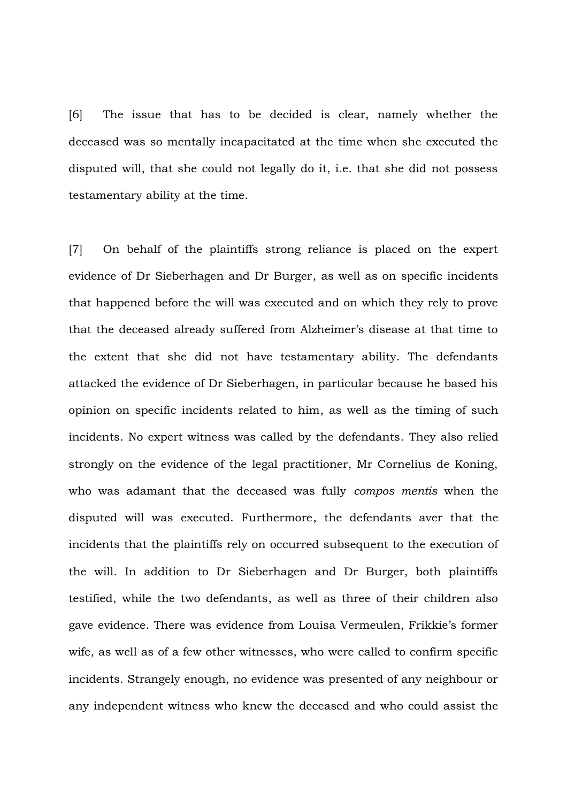[6] The issue that has to be decided is clear, namely whether the deceased was so mentally incapacitated at the time when she executed the disputed will, that she could not legally do it, i.e. that she did not possess testamentary ability at the time.

[7] On behalf of the plaintiffs strong reliance is placed on the expert evidence of Dr Sieberhagen and Dr Burger, as well as on specific incidents that happened before the will was executed and on which they rely to prove that the deceased already suffered from Alzheimer's disease at that time to the extent that she did not have testamentary ability. The defendants attacked the evidence of Dr Sieberhagen, in particular because he based his opinion on specific incidents related to him, as well as the timing of such incidents. No expert witness was called by the defendants. They also relied strongly on the evidence of the legal practitioner, Mr Cornelius de Koning, who was adamant that the deceased was fully *compos mentis* when the disputed will was executed. Furthermore, the defendants aver that the incidents that the plaintiffs rely on occurred subsequent to the execution of the will. In addition to Dr Sieberhagen and Dr Burger, both plaintiffs testified, while the two defendants, as well as three of their children also gave evidence. There was evidence from Louisa Vermeulen, Frikkie's former wife, as well as of a few other witnesses, who were called to confirm specific incidents. Strangely enough, no evidence was presented of any neighbour or any independent witness who knew the deceased and who could assist the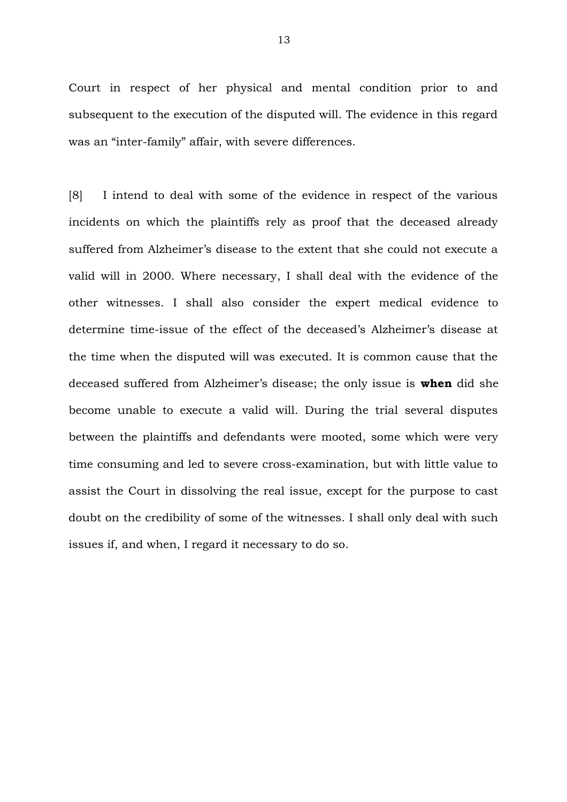Court in respect of her physical and mental condition prior to and subsequent to the execution of the disputed will. The evidence in this regard was an "inter-family" affair, with severe differences.

[8] I intend to deal with some of the evidence in respect of the various incidents on which the plaintiffs rely as proof that the deceased already suffered from Alzheimer's disease to the extent that she could not execute a valid will in 2000. Where necessary, I shall deal with the evidence of the other witnesses. I shall also consider the expert medical evidence to determine time-issue of the effect of the deceased's Alzheimer's disease at the time when the disputed will was executed. It is common cause that the deceased suffered from Alzheimer's disease; the only issue is **when** did she become unable to execute a valid will. During the trial several disputes between the plaintiffs and defendants were mooted, some which were very time consuming and led to severe cross-examination, but with little value to assist the Court in dissolving the real issue, except for the purpose to cast doubt on the credibility of some of the witnesses. I shall only deal with such issues if, and when, I regard it necessary to do so.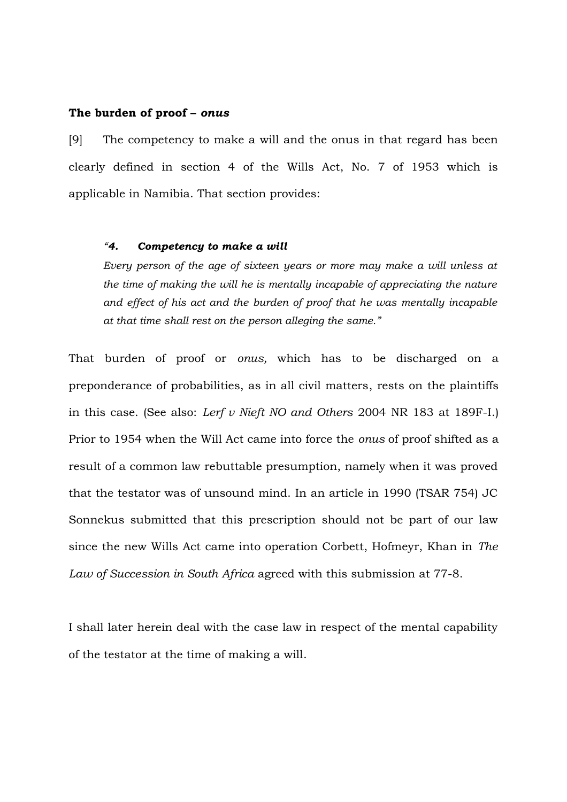#### **The burden of proof –** *onus*

[9] The competency to make a will and the onus in that regard has been clearly defined in section 4 of the Wills Act, No. 7 of 1953 which is applicable in Namibia. That section provides:

## *"4. Competency to make a will*

*Every person of the age of sixteen years or more may make a will unless at the time of making the will he is mentally incapable of appreciating the nature and effect of his act and the burden of proof that he was mentally incapable at that time shall rest on the person alleging the same."*

That burden of proof or *onus,* which has to be discharged on a preponderance of probabilities, as in all civil matters, rests on the plaintiffs in this case. (See also: *Lerf v Nieft NO and Others* 2004 NR 183 at 189F-I.) Prior to 1954 when the Will Act came into force the *onus* of proof shifted as a result of a common law rebuttable presumption, namely when it was proved that the testator was of unsound mind. In an article in 1990 (TSAR 754) JC Sonnekus submitted that this prescription should not be part of our law since the new Wills Act came into operation Corbett, Hofmeyr, Khan in *The Law of Succession in South Africa* agreed with this submission at 77-8.

I shall later herein deal with the case law in respect of the mental capability of the testator at the time of making a will.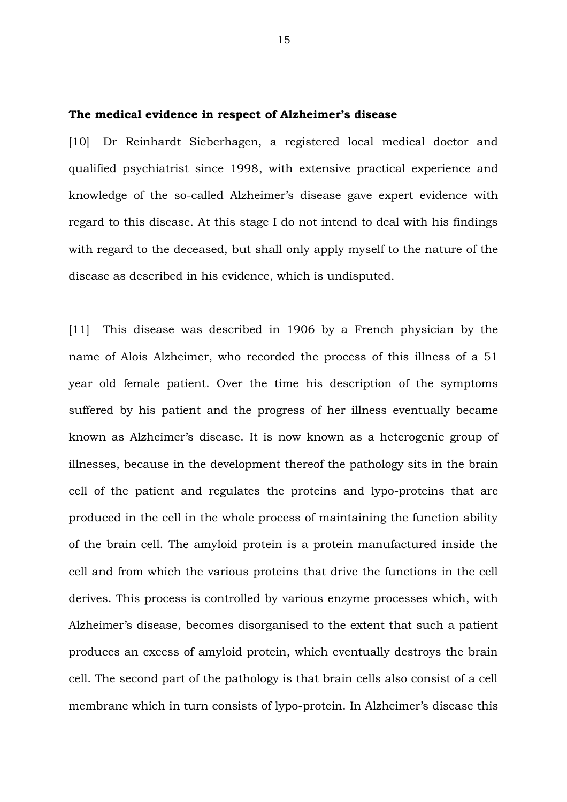#### **The medical evidence in respect of Alzheimer's disease**

[10] Dr Reinhardt Sieberhagen, a registered local medical doctor and qualified psychiatrist since 1998, with extensive practical experience and knowledge of the so-called Alzheimer's disease gave expert evidence with regard to this disease. At this stage I do not intend to deal with his findings with regard to the deceased, but shall only apply myself to the nature of the disease as described in his evidence, which is undisputed.

[11] This disease was described in 1906 by a French physician by the name of Alois Alzheimer, who recorded the process of this illness of a 51 year old female patient. Over the time his description of the symptoms suffered by his patient and the progress of her illness eventually became known as Alzheimer's disease. It is now known as a heterogenic group of illnesses, because in the development thereof the pathology sits in the brain cell of the patient and regulates the proteins and lypo-proteins that are produced in the cell in the whole process of maintaining the function ability of the brain cell. The amyloid protein is a protein manufactured inside the cell and from which the various proteins that drive the functions in the cell derives. This process is controlled by various enzyme processes which, with Alzheimer's disease, becomes disorganised to the extent that such a patient produces an excess of amyloid protein, which eventually destroys the brain cell. The second part of the pathology is that brain cells also consist of a cell membrane which in turn consists of lypo-protein. In Alzheimer's disease this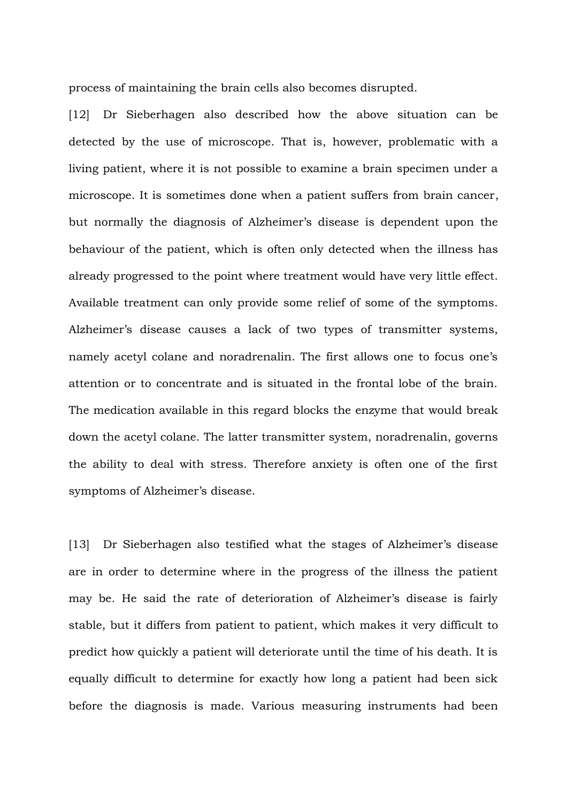process of maintaining the brain cells also becomes disrupted.

[12] Dr Sieberhagen also described how the above situation can be detected by the use of microscope. That is, however, problematic with a living patient, where it is not possible to examine a brain specimen under a microscope. It is sometimes done when a patient suffers from brain cancer, but normally the diagnosis of Alzheimer's disease is dependent upon the behaviour of the patient, which is often only detected when the illness has already progressed to the point where treatment would have very little effect. Available treatment can only provide some relief of some of the symptoms. Alzheimer's disease causes a lack of two types of transmitter systems, namely acetyl colane and noradrenalin. The first allows one to focus one's attention or to concentrate and is situated in the frontal lobe of the brain. The medication available in this regard blocks the enzyme that would break down the acetyl colane. The latter transmitter system, noradrenalin, governs the ability to deal with stress. Therefore anxiety is often one of the first symptoms of Alzheimer's disease.

[13] Dr Sieberhagen also testified what the stages of Alzheimer's disease are in order to determine where in the progress of the illness the patient may be. He said the rate of deterioration of Alzheimer's disease is fairly stable, but it differs from patient to patient, which makes it very difficult to predict how quickly a patient will deteriorate until the time of his death. It is equally difficult to determine for exactly how long a patient had been sick before the diagnosis is made. Various measuring instruments had been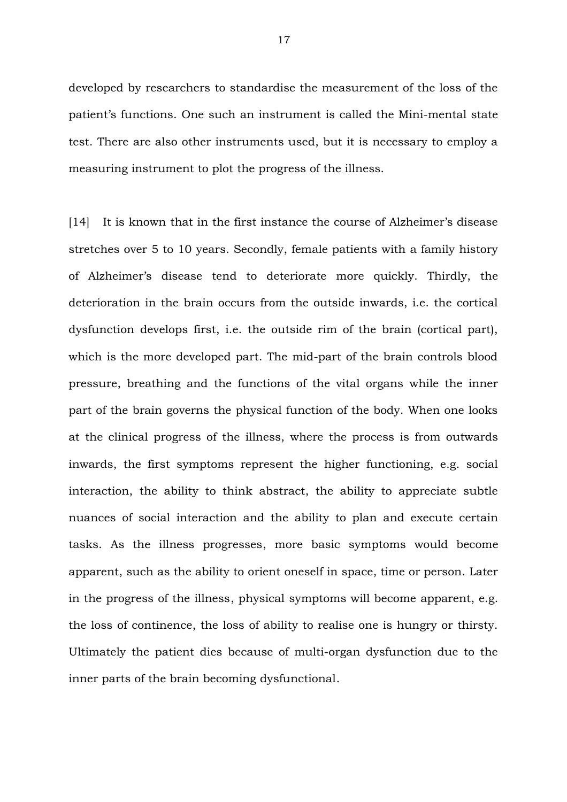developed by researchers to standardise the measurement of the loss of the patient's functions. One such an instrument is called the Mini-mental state test. There are also other instruments used, but it is necessary to employ a measuring instrument to plot the progress of the illness.

[14] It is known that in the first instance the course of Alzheimer's disease stretches over 5 to 10 years. Secondly, female patients with a family history of Alzheimer's disease tend to deteriorate more quickly. Thirdly, the deterioration in the brain occurs from the outside inwards, i.e. the cortical dysfunction develops first, i.e. the outside rim of the brain (cortical part), which is the more developed part. The mid-part of the brain controls blood pressure, breathing and the functions of the vital organs while the inner part of the brain governs the physical function of the body. When one looks at the clinical progress of the illness, where the process is from outwards inwards, the first symptoms represent the higher functioning, e.g. social interaction, the ability to think abstract, the ability to appreciate subtle nuances of social interaction and the ability to plan and execute certain tasks. As the illness progresses, more basic symptoms would become apparent, such as the ability to orient oneself in space, time or person. Later in the progress of the illness, physical symptoms will become apparent, e.g. the loss of continence, the loss of ability to realise one is hungry or thirsty. Ultimately the patient dies because of multi-organ dysfunction due to the inner parts of the brain becoming dysfunctional.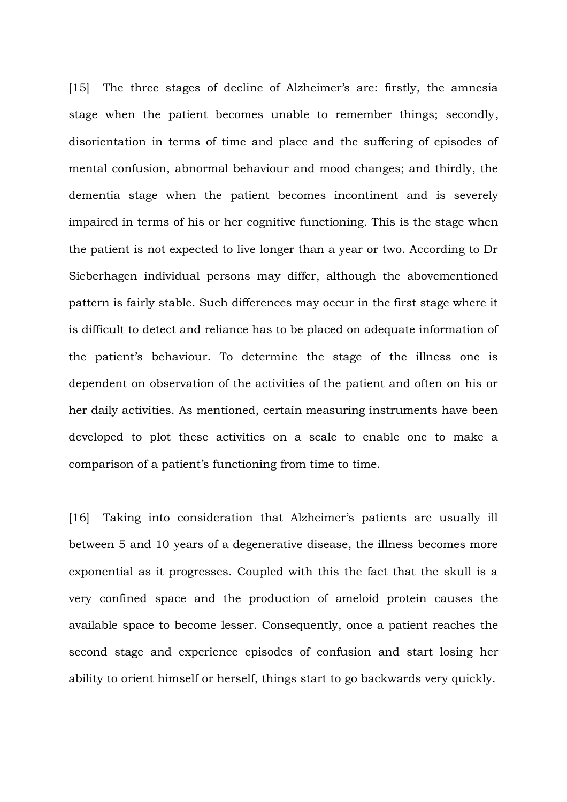[15] The three stages of decline of Alzheimer's are: firstly, the amnesia stage when the patient becomes unable to remember things; secondly, disorientation in terms of time and place and the suffering of episodes of mental confusion, abnormal behaviour and mood changes; and thirdly, the dementia stage when the patient becomes incontinent and is severely impaired in terms of his or her cognitive functioning. This is the stage when the patient is not expected to live longer than a year or two. According to Dr Sieberhagen individual persons may differ, although the abovementioned pattern is fairly stable. Such differences may occur in the first stage where it is difficult to detect and reliance has to be placed on adequate information of the patient's behaviour. To determine the stage of the illness one is dependent on observation of the activities of the patient and often on his or her daily activities. As mentioned, certain measuring instruments have been developed to plot these activities on a scale to enable one to make a comparison of a patient's functioning from time to time.

[16] Taking into consideration that Alzheimer's patients are usually ill between 5 and 10 years of a degenerative disease, the illness becomes more exponential as it progresses. Coupled with this the fact that the skull is a very confined space and the production of ameloid protein causes the available space to become lesser. Consequently, once a patient reaches the second stage and experience episodes of confusion and start losing her ability to orient himself or herself, things start to go backwards very quickly.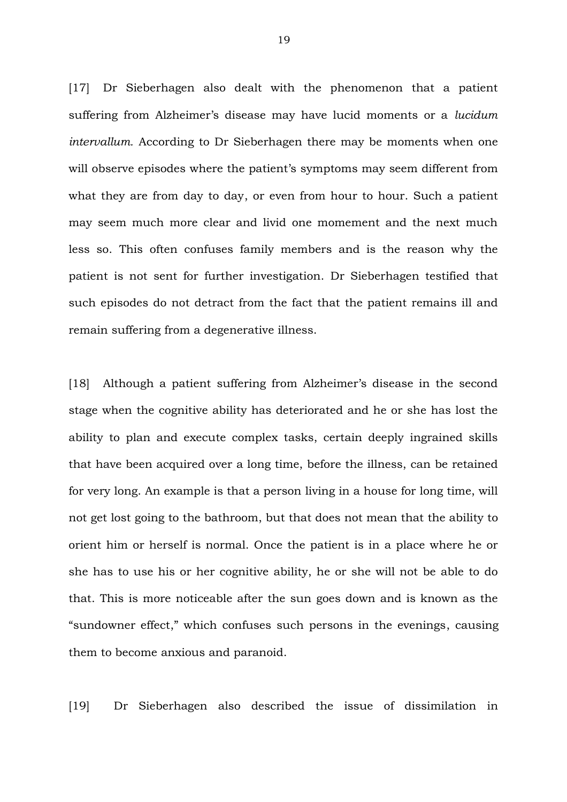[17] Dr Sieberhagen also dealt with the phenomenon that a patient suffering from Alzheimer's disease may have lucid moments or a *lucidum intervallum.* According to Dr Sieberhagen there may be moments when one will observe episodes where the patient's symptoms may seem different from what they are from day to day, or even from hour to hour. Such a patient may seem much more clear and livid one momement and the next much less so. This often confuses family members and is the reason why the patient is not sent for further investigation. Dr Sieberhagen testified that such episodes do not detract from the fact that the patient remains ill and remain suffering from a degenerative illness.

[18] Although a patient suffering from Alzheimer's disease in the second stage when the cognitive ability has deteriorated and he or she has lost the ability to plan and execute complex tasks, certain deeply ingrained skills that have been acquired over a long time, before the illness, can be retained for very long. An example is that a person living in a house for long time, will not get lost going to the bathroom, but that does not mean that the ability to orient him or herself is normal. Once the patient is in a place where he or she has to use his or her cognitive ability, he or she will not be able to do that. This is more noticeable after the sun goes down and is known as the "sundowner effect," which confuses such persons in the evenings, causing them to become anxious and paranoid.

[19] Dr Sieberhagen also described the issue of dissimilation in

19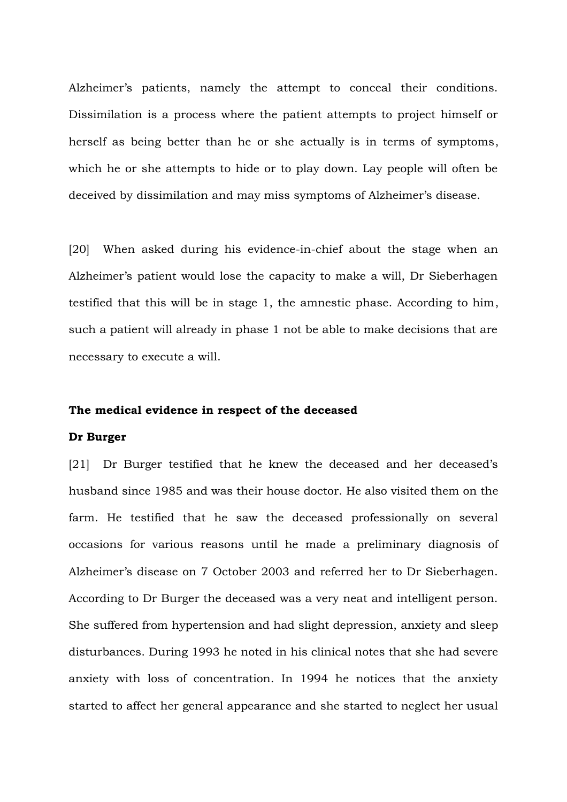Alzheimer's patients, namely the attempt to conceal their conditions. Dissimilation is a process where the patient attempts to project himself or herself as being better than he or she actually is in terms of symptoms, which he or she attempts to hide or to play down. Lay people will often be deceived by dissimilation and may miss symptoms of Alzheimer's disease.

[20] When asked during his evidence-in-chief about the stage when an Alzheimer's patient would lose the capacity to make a will, Dr Sieberhagen testified that this will be in stage 1, the amnestic phase. According to him, such a patient will already in phase 1 not be able to make decisions that are necessary to execute a will.

#### **The medical evidence in respect of the deceased**

#### **Dr Burger**

[21] Dr Burger testified that he knew the deceased and her deceased's husband since 1985 and was their house doctor. He also visited them on the farm. He testified that he saw the deceased professionally on several occasions for various reasons until he made a preliminary diagnosis of Alzheimer's disease on 7 October 2003 and referred her to Dr Sieberhagen. According to Dr Burger the deceased was a very neat and intelligent person. She suffered from hypertension and had slight depression, anxiety and sleep disturbances. During 1993 he noted in his clinical notes that she had severe anxiety with loss of concentration. In 1994 he notices that the anxiety started to affect her general appearance and she started to neglect her usual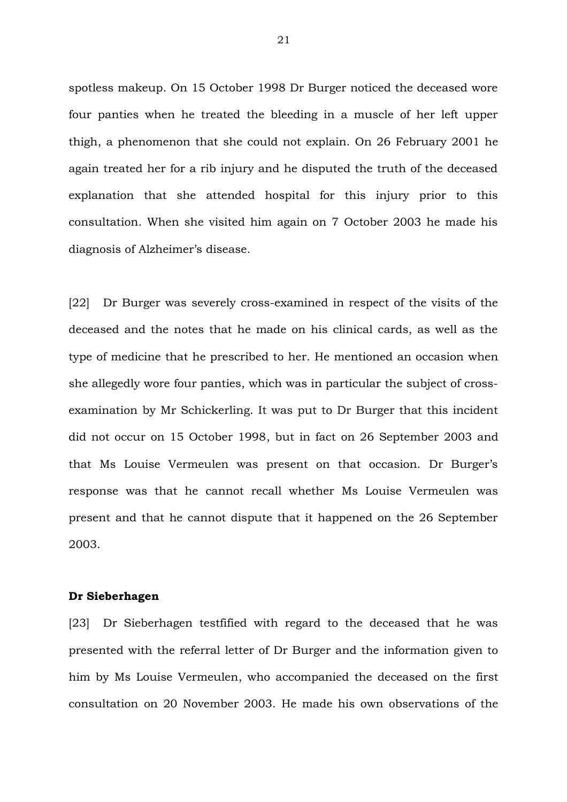spotless makeup. On 15 October 1998 Dr Burger noticed the deceased wore four panties when he treated the bleeding in a muscle of her left upper thigh, a phenomenon that she could not explain. On 26 February 2001 he again treated her for a rib injury and he disputed the truth of the deceased explanation that she attended hospital for this injury prior to this consultation. When she visited him again on 7 October 2003 he made his diagnosis of Alzheimer's disease.

[22] Dr Burger was severely cross-examined in respect of the visits of the deceased and the notes that he made on his clinical cards, as well as the type of medicine that he prescribed to her. He mentioned an occasion when she allegedly wore four panties, which was in particular the subject of crossexamination by Mr Schickerling. It was put to Dr Burger that this incident did not occur on 15 October 1998, but in fact on 26 September 2003 and that Ms Louise Vermeulen was present on that occasion. Dr Burger's response was that he cannot recall whether Ms Louise Vermeulen was present and that he cannot dispute that it happened on the 26 September 2003.

#### **Dr Sieberhagen**

[23] Dr Sieberhagen testfified with regard to the deceased that he was presented with the referral letter of Dr Burger and the information given to him by Ms Louise Vermeulen, who accompanied the deceased on the first consultation on 20 November 2003. He made his own observations of the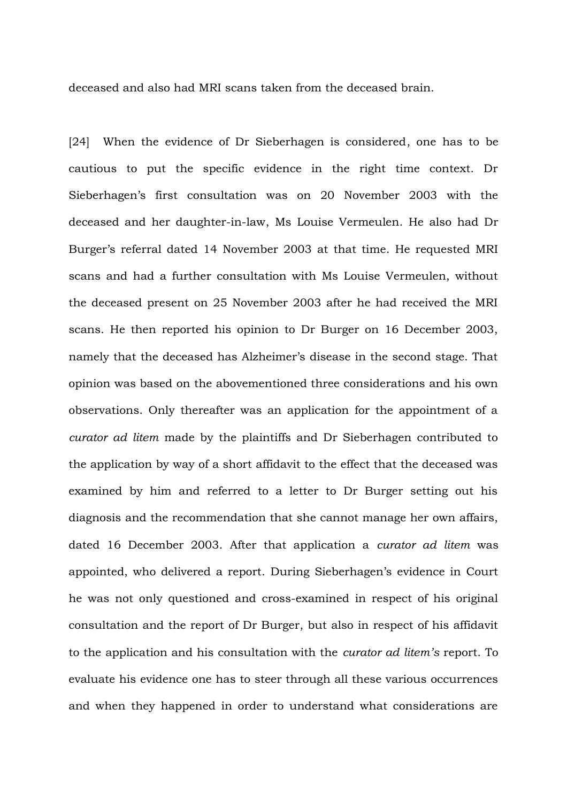deceased and also had MRI scans taken from the deceased brain.

[24] When the evidence of Dr Sieberhagen is considered, one has to be cautious to put the specific evidence in the right time context. Dr Sieberhagen's first consultation was on 20 November 2003 with the deceased and her daughter-in-law, Ms Louise Vermeulen. He also had Dr Burger's referral dated 14 November 2003 at that time. He requested MRI scans and had a further consultation with Ms Louise Vermeulen, without the deceased present on 25 November 2003 after he had received the MRI scans. He then reported his opinion to Dr Burger on 16 December 2003, namely that the deceased has Alzheimer's disease in the second stage. That opinion was based on the abovementioned three considerations and his own observations. Only thereafter was an application for the appointment of a *curator ad litem* made by the plaintiffs and Dr Sieberhagen contributed to the application by way of a short affidavit to the effect that the deceased was examined by him and referred to a letter to Dr Burger setting out his diagnosis and the recommendation that she cannot manage her own affairs, dated 16 December 2003. After that application a *curator ad litem* was appointed, who delivered a report. During Sieberhagen's evidence in Court he was not only questioned and cross-examined in respect of his original consultation and the report of Dr Burger, but also in respect of his affidavit to the application and his consultation with the *curator ad litem's* report. To evaluate his evidence one has to steer through all these various occurrences and when they happened in order to understand what considerations are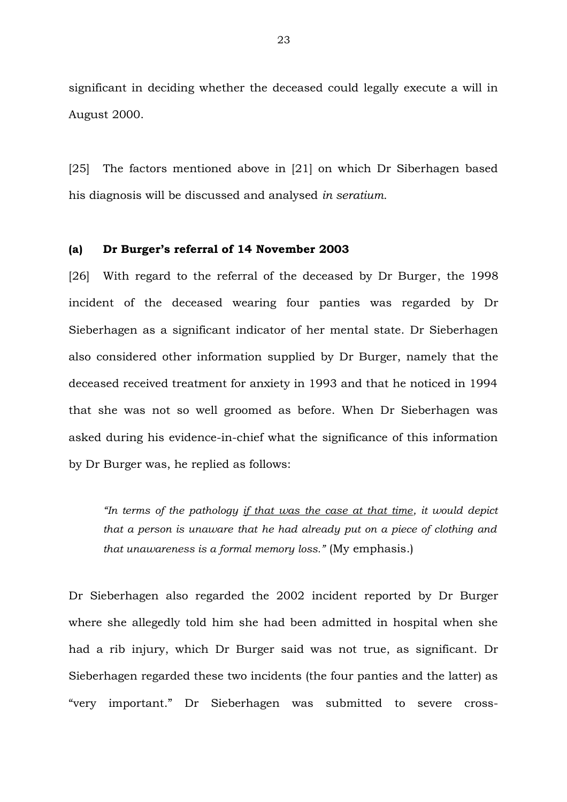significant in deciding whether the deceased could legally execute a will in August 2000.

[25] The factors mentioned above in [21] on which Dr Siberhagen based his diagnosis will be discussed and analysed *in seratium.*

### **(a) Dr Burger's referral of 14 November 2003**

[26] With regard to the referral of the deceased by Dr Burger, the 1998 incident of the deceased wearing four panties was regarded by Dr Sieberhagen as a significant indicator of her mental state. Dr Sieberhagen also considered other information supplied by Dr Burger, namely that the deceased received treatment for anxiety in 1993 and that he noticed in 1994 that she was not so well groomed as before. When Dr Sieberhagen was asked during his evidence-in-chief what the significance of this information by Dr Burger was, he replied as follows:

*"In terms of the pathology if that was the case at that time, it would depict that a person is unaware that he had already put on a piece of clothing and that unawareness is a formal memory loss."* (My emphasis.)

Dr Sieberhagen also regarded the 2002 incident reported by Dr Burger where she allegedly told him she had been admitted in hospital when she had a rib injury, which Dr Burger said was not true, as significant. Dr Sieberhagen regarded these two incidents (the four panties and the latter) as "very important." Dr Sieberhagen was submitted to severe cross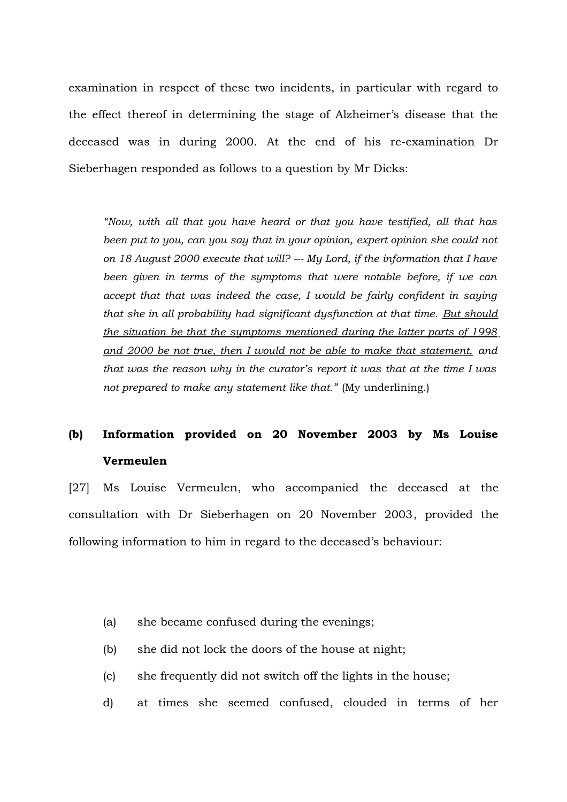examination in respect of these two incidents, in particular with regard to the effect thereof in determining the stage of Alzheimer's disease that the deceased was in during 2000. At the end of his re-examination Dr Sieberhagen responded as follows to a question by Mr Dicks:

*"Now, with all that you have heard or that you have testified, all that has been put to you, can you say that in your opinion, expert opinion she could not on 18 August 2000 execute that will? --- My Lord, if the information that I have been given in terms of the symptoms that were notable before, if we can accept that that was indeed the case, I would be fairly confident in saying that she in all probability had significant dysfunction at that time. But should the situation be that the symptoms mentioned during the latter parts of 1998 and 2000 be not true, then I would not be able to make that statement, and that was the reason why in the curator's report it was that at the time I was not prepared to make any statement like that."* (My underlining.)

# **(b) Information provided on 20 November 2003 by Ms Louise Vermeulen**

[27] Ms Louise Vermeulen, who accompanied the deceased at the consultation with Dr Sieberhagen on 20 November 2003, provided the following information to him in regard to the deceased's behaviour:

- (a) she became confused during the evenings;
- (b) she did not lock the doors of the house at night;
- (c) she frequently did not switch off the lights in the house;
- d) at times she seemed confused, clouded in terms of her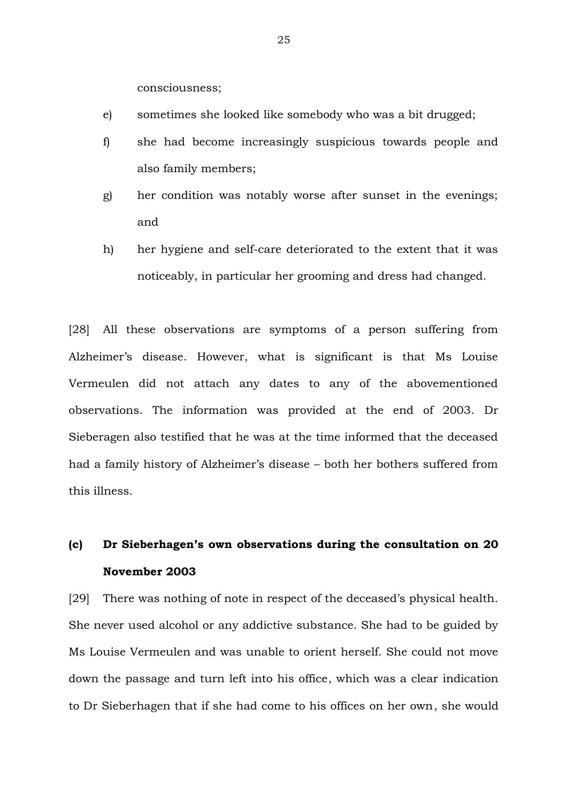consciousness;

- e) sometimes she looked like somebody who was a bit drugged;
- f) she had become increasingly suspicious towards people and also family members;
- g) her condition was notably worse after sunset in the evenings; and
- h) her hygiene and self-care deteriorated to the extent that it was noticeably, in particular her grooming and dress had changed.

[28] All these observations are symptoms of a person suffering from Alzheimer's disease. However, what is significant is that Ms Louise Vermeulen did not attach any dates to any of the abovementioned observations. The information was provided at the end of 2003. Dr Sieberagen also testified that he was at the time informed that the deceased had a family history of Alzheimer's disease – both her bothers suffered from this illness.

# **(c) Dr Sieberhagen's own observations during the consultation on 20 November 2003**

[29] There was nothing of note in respect of the deceased's physical health. She never used alcohol or any addictive substance. She had to be guided by Ms Louise Vermeulen and was unable to orient herself. She could not move down the passage and turn left into his office, which was a clear indication to Dr Sieberhagen that if she had come to his offices on her own, she would

25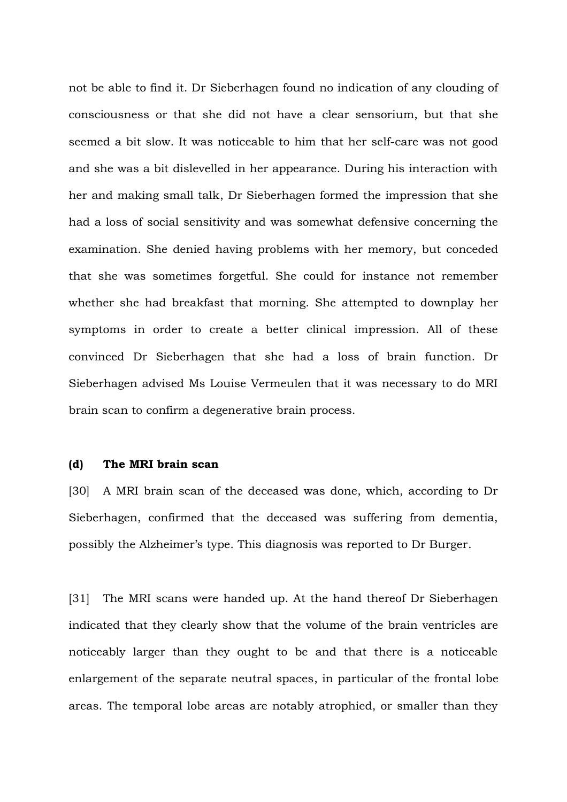not be able to find it. Dr Sieberhagen found no indication of any clouding of consciousness or that she did not have a clear sensorium, but that she seemed a bit slow. It was noticeable to him that her self-care was not good and she was a bit dislevelled in her appearance. During his interaction with her and making small talk, Dr Sieberhagen formed the impression that she had a loss of social sensitivity and was somewhat defensive concerning the examination. She denied having problems with her memory, but conceded that she was sometimes forgetful. She could for instance not remember whether she had breakfast that morning. She attempted to downplay her symptoms in order to create a better clinical impression. All of these convinced Dr Sieberhagen that she had a loss of brain function. Dr Sieberhagen advised Ms Louise Vermeulen that it was necessary to do MRI brain scan to confirm a degenerative brain process.

## **(d) The MRI brain scan**

[30] A MRI brain scan of the deceased was done, which, according to Dr Sieberhagen, confirmed that the deceased was suffering from dementia, possibly the Alzheimer's type. This diagnosis was reported to Dr Burger.

[31] The MRI scans were handed up. At the hand thereof Dr Sieberhagen indicated that they clearly show that the volume of the brain ventricles are noticeably larger than they ought to be and that there is a noticeable enlargement of the separate neutral spaces, in particular of the frontal lobe areas. The temporal lobe areas are notably atrophied, or smaller than they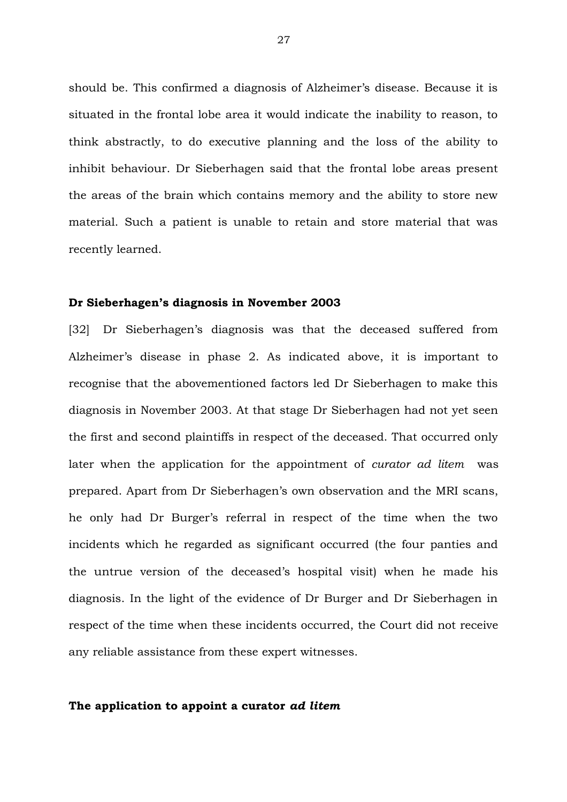should be. This confirmed a diagnosis of Alzheimer's disease. Because it is situated in the frontal lobe area it would indicate the inability to reason, to think abstractly, to do executive planning and the loss of the ability to inhibit behaviour. Dr Sieberhagen said that the frontal lobe areas present the areas of the brain which contains memory and the ability to store new material. Such a patient is unable to retain and store material that was recently learned.

#### **Dr Sieberhagen's diagnosis in November 2003**

[32] Dr Sieberhagen's diagnosis was that the deceased suffered from Alzheimer's disease in phase 2. As indicated above, it is important to recognise that the abovementioned factors led Dr Sieberhagen to make this diagnosis in November 2003. At that stage Dr Sieberhagen had not yet seen the first and second plaintiffs in respect of the deceased. That occurred only later when the application for the appointment of *curator ad litem* was prepared. Apart from Dr Sieberhagen's own observation and the MRI scans, he only had Dr Burger's referral in respect of the time when the two incidents which he regarded as significant occurred (the four panties and the untrue version of the deceased's hospital visit) when he made his diagnosis. In the light of the evidence of Dr Burger and Dr Sieberhagen in respect of the time when these incidents occurred, the Court did not receive any reliable assistance from these expert witnesses.

#### **The application to appoint a curator** *ad litem*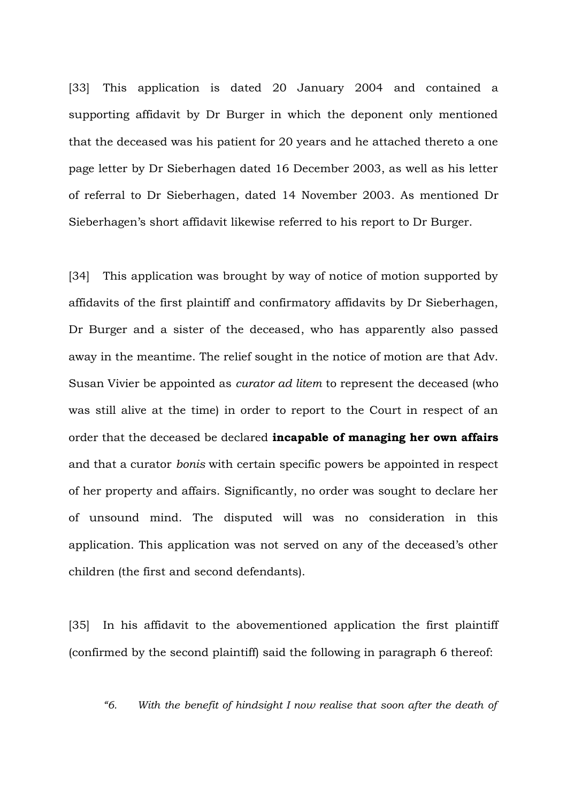[33] This application is dated 20 January 2004 and contained a supporting affidavit by Dr Burger in which the deponent only mentioned that the deceased was his patient for 20 years and he attached thereto a one page letter by Dr Sieberhagen dated 16 December 2003, as well as his letter of referral to Dr Sieberhagen, dated 14 November 2003. As mentioned Dr Sieberhagen's short affidavit likewise referred to his report to Dr Burger.

[34] This application was brought by way of notice of motion supported by affidavits of the first plaintiff and confirmatory affidavits by Dr Sieberhagen, Dr Burger and a sister of the deceased, who has apparently also passed away in the meantime. The relief sought in the notice of motion are that Adv. Susan Vivier be appointed as *curator ad litem* to represent the deceased (who was still alive at the time) in order to report to the Court in respect of an order that the deceased be declared **incapable of managing her own affairs** and that a curator *bonis* with certain specific powers be appointed in respect of her property and affairs. Significantly, no order was sought to declare her of unsound mind. The disputed will was no consideration in this application. This application was not served on any of the deceased's other children (the first and second defendants).

[35] In his affidavit to the abovementioned application the first plaintiff (confirmed by the second plaintiff) said the following in paragraph 6 thereof:

*"6. With the benefit of hindsight I now realise that soon after the death of*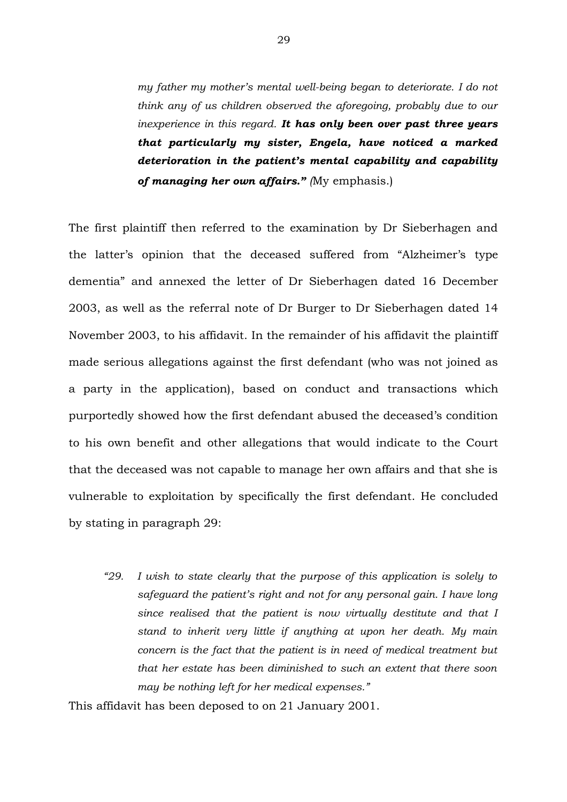*my father my mother's mental well-being began to deteriorate. I do not think any of us children observed the aforegoing, probably due to our inexperience in this regard. It has only been over past three years that particularly my sister, Engela, have noticed a marked deterioration in the patient's mental capability and capability of managing her own affairs." (*My emphasis.)

The first plaintiff then referred to the examination by Dr Sieberhagen and the latter's opinion that the deceased suffered from "Alzheimer's type dementia" and annexed the letter of Dr Sieberhagen dated 16 December 2003, as well as the referral note of Dr Burger to Dr Sieberhagen dated 14 November 2003, to his affidavit. In the remainder of his affidavit the plaintiff made serious allegations against the first defendant (who was not joined as a party in the application), based on conduct and transactions which purportedly showed how the first defendant abused the deceased's condition to his own benefit and other allegations that would indicate to the Court that the deceased was not capable to manage her own affairs and that she is vulnerable to exploitation by specifically the first defendant. He concluded by stating in paragraph 29:

*"29. I wish to state clearly that the purpose of this application is solely to safeguard the patient's right and not for any personal gain. I have long since realised that the patient is now virtually destitute and that I stand to inherit very little if anything at upon her death. My main concern is the fact that the patient is in need of medical treatment but that her estate has been diminished to such an extent that there soon may be nothing left for her medical expenses."*

This affidavit has been deposed to on 21 January 2001.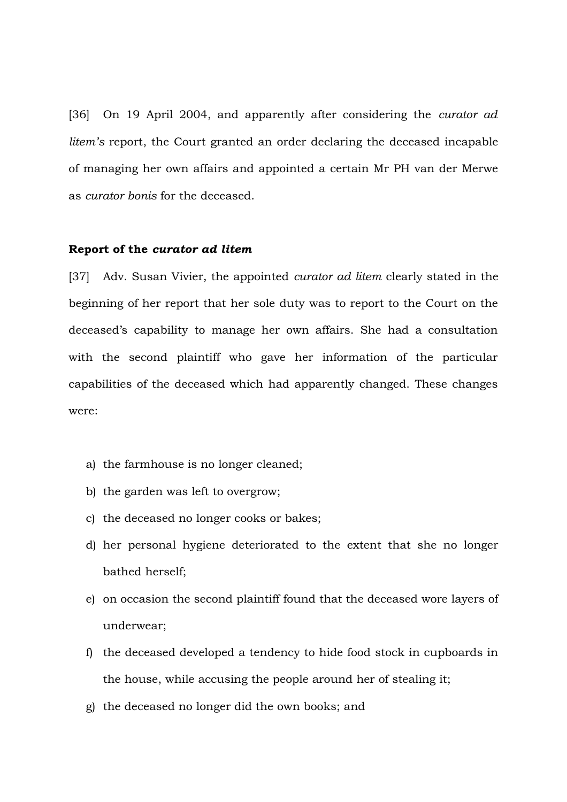[36] On 19 April 2004, and apparently after considering the *curator ad litem's* report, the Court granted an order declaring the deceased incapable of managing her own affairs and appointed a certain Mr PH van der Merwe as *curator bonis* for the deceased.

# **Report of the** *curator ad litem*

[37] Adv. Susan Vivier, the appointed *curator ad litem* clearly stated in the beginning of her report that her sole duty was to report to the Court on the deceased's capability to manage her own affairs. She had a consultation with the second plaintiff who gave her information of the particular capabilities of the deceased which had apparently changed. These changes were:

- a) the farmhouse is no longer cleaned;
- b) the garden was left to overgrow;
- c) the deceased no longer cooks or bakes;
- d) her personal hygiene deteriorated to the extent that she no longer bathed herself;
- e) on occasion the second plaintiff found that the deceased wore layers of underwear;
- f) the deceased developed a tendency to hide food stock in cupboards in the house, while accusing the people around her of stealing it;
- g) the deceased no longer did the own books; and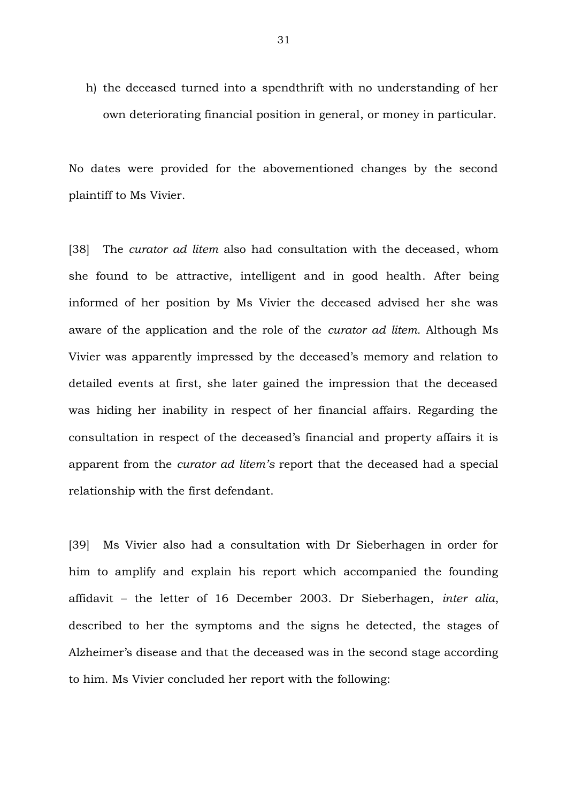h) the deceased turned into a spendthrift with no understanding of her own deteriorating financial position in general, or money in particular.

No dates were provided for the abovementioned changes by the second plaintiff to Ms Vivier.

[38] The *curator ad litem* also had consultation with the deceased, whom she found to be attractive, intelligent and in good health. After being informed of her position by Ms Vivier the deceased advised her she was aware of the application and the role of the *curator ad litem.* Although Ms Vivier was apparently impressed by the deceased's memory and relation to detailed events at first, she later gained the impression that the deceased was hiding her inability in respect of her financial affairs. Regarding the consultation in respect of the deceased's financial and property affairs it is apparent from the *curator ad litem's* report that the deceased had a special relationship with the first defendant.

[39] Ms Vivier also had a consultation with Dr Sieberhagen in order for him to amplify and explain his report which accompanied the founding affidavit – the letter of 16 December 2003. Dr Sieberhagen, *inter alia*, described to her the symptoms and the signs he detected, the stages of Alzheimer's disease and that the deceased was in the second stage according to him. Ms Vivier concluded her report with the following: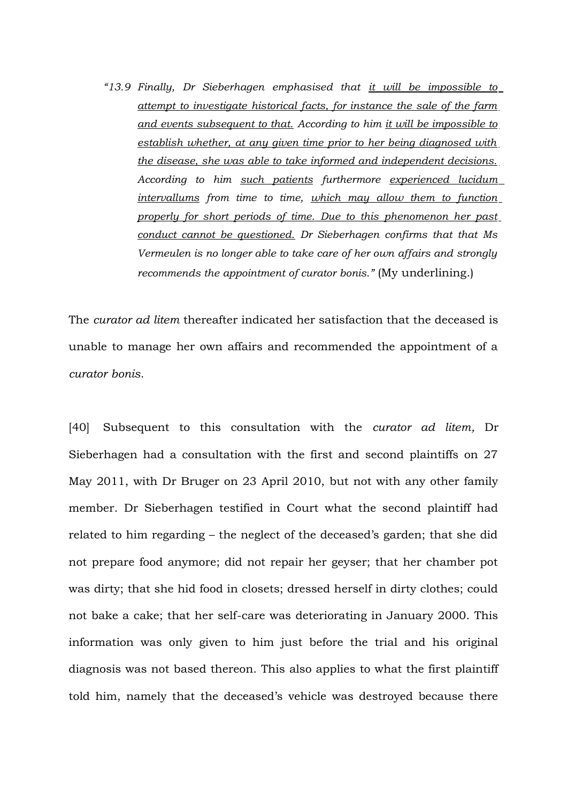*"13.9 Finally, Dr Sieberhagen emphasised that it will be impossible to attempt to investigate historical facts, for instance the sale of the farm and events subsequent to that. According to him it will be impossible to establish whether, at any given time prior to her being diagnosed with the disease, she was able to take informed and independent decisions. According to him such patients furthermore experienced lucidum intervallums from time to time, which may allow them to function properly for short periods of time. Due to this phenomenon her past conduct cannot be questioned. Dr Sieberhagen confirms that that Ms Vermeulen is no longer able to take care of her own affairs and strongly recommends the appointment of curator bonis."* (My underlining.)

The *curator ad litem* thereafter indicated her satisfaction that the deceased is unable to manage her own affairs and recommended the appointment of a *curator bonis*.

[40] Subsequent to this consultation with the *curator ad litem,* Dr Sieberhagen had a consultation with the first and second plaintiffs on 27 May 2011, with Dr Bruger on 23 April 2010, but not with any other family member. Dr Sieberhagen testified in Court what the second plaintiff had related to him regarding – the neglect of the deceased's garden; that she did not prepare food anymore; did not repair her geyser; that her chamber pot was dirty; that she hid food in closets; dressed herself in dirty clothes; could not bake a cake; that her self-care was deteriorating in January 2000. This information was only given to him just before the trial and his original diagnosis was not based thereon. This also applies to what the first plaintiff told him, namely that the deceased's vehicle was destroyed because there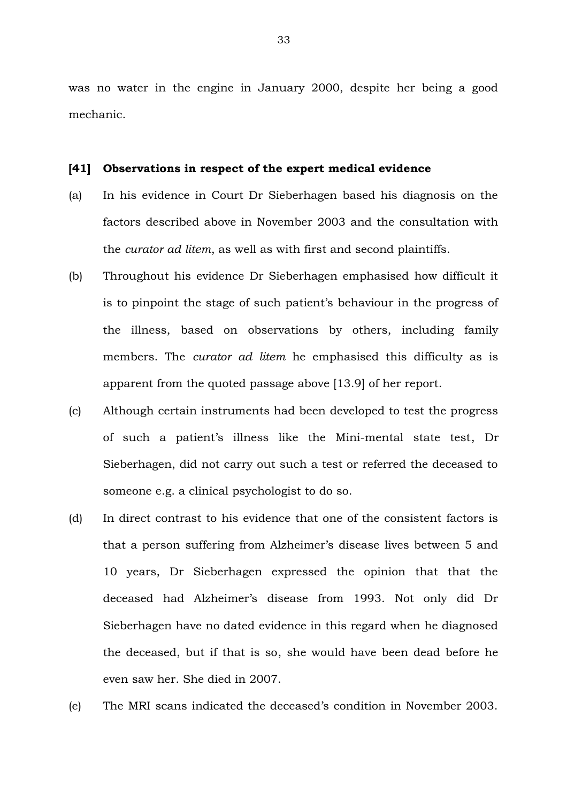was no water in the engine in January 2000, despite her being a good mechanic.

#### **[41] Observations in respect of the expert medical evidence**

- (a) In his evidence in Court Dr Sieberhagen based his diagnosis on the factors described above in November 2003 and the consultation with the *curator ad litem*, as well as with first and second plaintiffs.
- (b) Throughout his evidence Dr Sieberhagen emphasised how difficult it is to pinpoint the stage of such patient's behaviour in the progress of the illness, based on observations by others, including family members. The *curator ad litem* he emphasised this difficulty as is apparent from the quoted passage above [13.9] of her report.
- (c) Although certain instruments had been developed to test the progress of such a patient's illness like the Mini-mental state test, Dr Sieberhagen, did not carry out such a test or referred the deceased to someone e.g. a clinical psychologist to do so.
- (d) In direct contrast to his evidence that one of the consistent factors is that a person suffering from Alzheimer's disease lives between 5 and 10 years, Dr Sieberhagen expressed the opinion that that the deceased had Alzheimer's disease from 1993. Not only did Dr Sieberhagen have no dated evidence in this regard when he diagnosed the deceased, but if that is so, she would have been dead before he even saw her. She died in 2007.
- (e) The MRI scans indicated the deceased's condition in November 2003.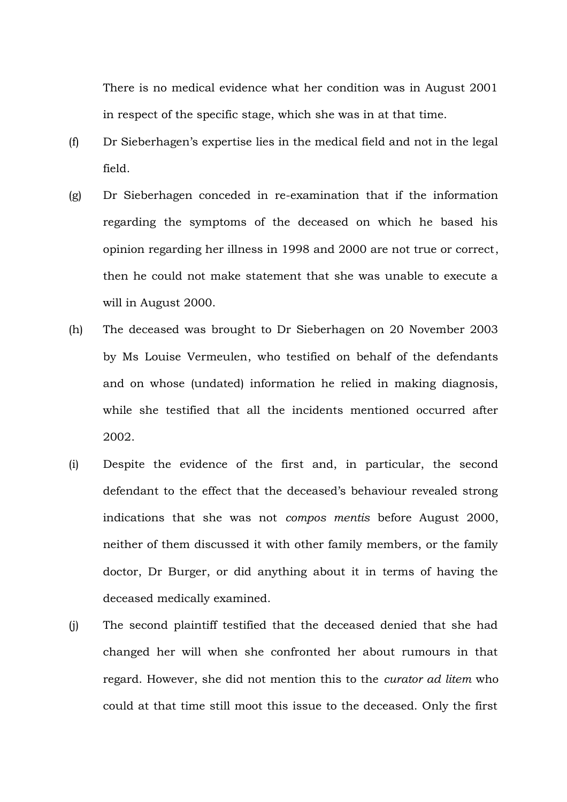There is no medical evidence what her condition was in August 2001 in respect of the specific stage, which she was in at that time.

- (f) Dr Sieberhagen's expertise lies in the medical field and not in the legal field.
- (g) Dr Sieberhagen conceded in re-examination that if the information regarding the symptoms of the deceased on which he based his opinion regarding her illness in 1998 and 2000 are not true or correct, then he could not make statement that she was unable to execute a will in August 2000.
- (h) The deceased was brought to Dr Sieberhagen on 20 November 2003 by Ms Louise Vermeulen, who testified on behalf of the defendants and on whose (undated) information he relied in making diagnosis, while she testified that all the incidents mentioned occurred after 2002.
- (i) Despite the evidence of the first and, in particular, the second defendant to the effect that the deceased's behaviour revealed strong indications that she was not *compos mentis* before August 2000, neither of them discussed it with other family members, or the family doctor, Dr Burger, or did anything about it in terms of having the deceased medically examined.
- (j) The second plaintiff testified that the deceased denied that she had changed her will when she confronted her about rumours in that regard. However, she did not mention this to the *curator ad litem* who could at that time still moot this issue to the deceased. Only the first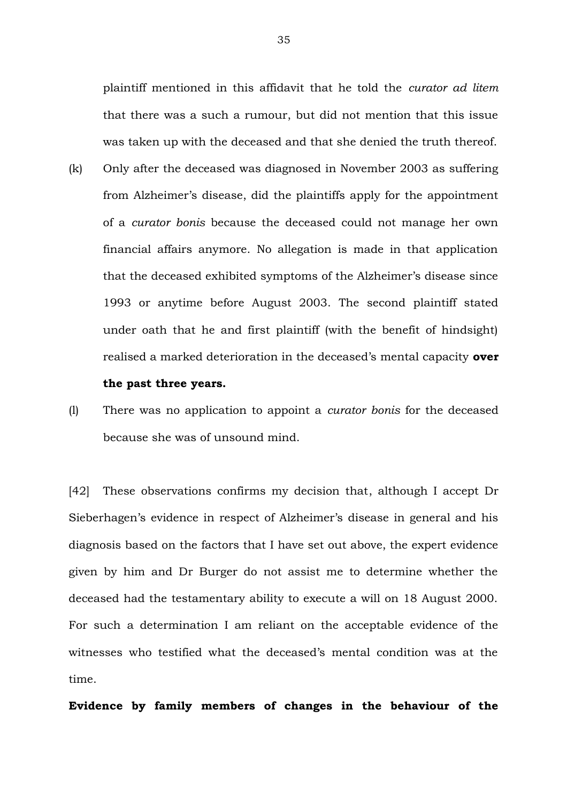plaintiff mentioned in this affidavit that he told the *curator ad litem* that there was a such a rumour, but did not mention that this issue was taken up with the deceased and that she denied the truth thereof.

- (k) Only after the deceased was diagnosed in November 2003 as suffering from Alzheimer's disease, did the plaintiffs apply for the appointment of a *curator bonis* because the deceased could not manage her own financial affairs anymore. No allegation is made in that application that the deceased exhibited symptoms of the Alzheimer's disease since 1993 or anytime before August 2003. The second plaintiff stated under oath that he and first plaintiff (with the benefit of hindsight) realised a marked deterioration in the deceased's mental capacity **over the past three years.**
- (l) There was no application to appoint a *curator bonis* for the deceased because she was of unsound mind.

[42] These observations confirms my decision that, although I accept Dr Sieberhagen's evidence in respect of Alzheimer's disease in general and his diagnosis based on the factors that I have set out above, the expert evidence given by him and Dr Burger do not assist me to determine whether the deceased had the testamentary ability to execute a will on 18 August 2000. For such a determination I am reliant on the acceptable evidence of the witnesses who testified what the deceased's mental condition was at the time.

**Evidence by family members of changes in the behaviour of the**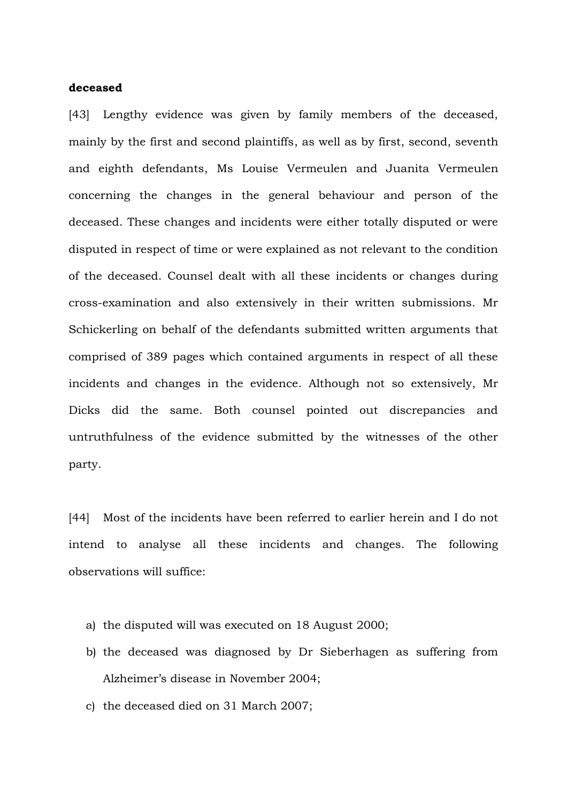## **deceased**

[43] Lengthy evidence was given by family members of the deceased, mainly by the first and second plaintiffs, as well as by first, second, seventh and eighth defendants, Ms Louise Vermeulen and Juanita Vermeulen concerning the changes in the general behaviour and person of the deceased. These changes and incidents were either totally disputed or were disputed in respect of time or were explained as not relevant to the condition of the deceased. Counsel dealt with all these incidents or changes during cross-examination and also extensively in their written submissions. Mr Schickerling on behalf of the defendants submitted written arguments that comprised of 389 pages which contained arguments in respect of all these incidents and changes in the evidence. Although not so extensively, Mr Dicks did the same. Both counsel pointed out discrepancies and untruthfulness of the evidence submitted by the witnesses of the other party.

[44] Most of the incidents have been referred to earlier herein and I do not intend to analyse all these incidents and changes. The following observations will suffice:

- a) the disputed will was executed on 18 August 2000;
- b) the deceased was diagnosed by Dr Sieberhagen as suffering from Alzheimer's disease in November 2004;
- c) the deceased died on 31 March 2007;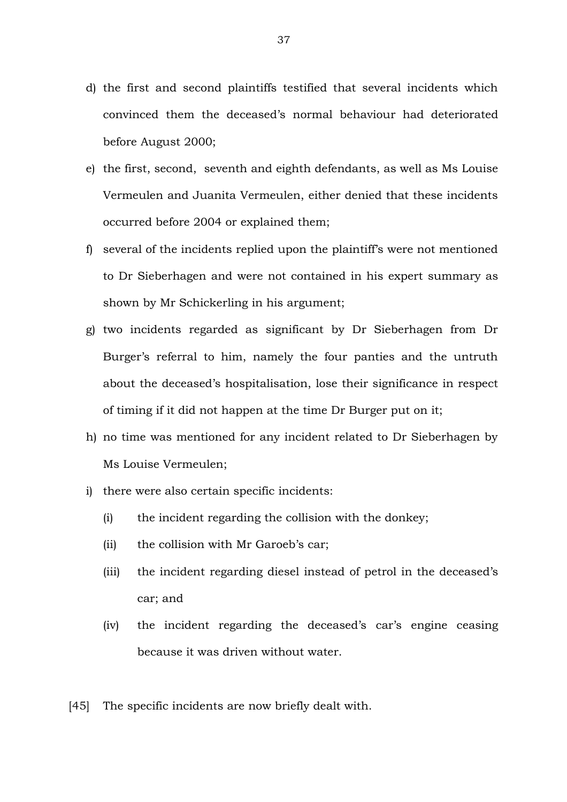- d) the first and second plaintiffs testified that several incidents which convinced them the deceased's normal behaviour had deteriorated before August 2000;
- e) the first, second, seventh and eighth defendants, as well as Ms Louise Vermeulen and Juanita Vermeulen, either denied that these incidents occurred before 2004 or explained them;
- f) several of the incidents replied upon the plaintiff's were not mentioned to Dr Sieberhagen and were not contained in his expert summary as shown by Mr Schickerling in his argument;
- g) two incidents regarded as significant by Dr Sieberhagen from Dr Burger's referral to him, namely the four panties and the untruth about the deceased's hospitalisation, lose their significance in respect of timing if it did not happen at the time Dr Burger put on it;
- h) no time was mentioned for any incident related to Dr Sieberhagen by Ms Louise Vermeulen;
- i) there were also certain specific incidents:
	- (i) the incident regarding the collision with the donkey;
	- (ii) the collision with Mr Garoeb's car;
	- (iii) the incident regarding diesel instead of petrol in the deceased's car; and
	- (iv) the incident regarding the deceased's car's engine ceasing because it was driven without water.
- [45] The specific incidents are now briefly dealt with.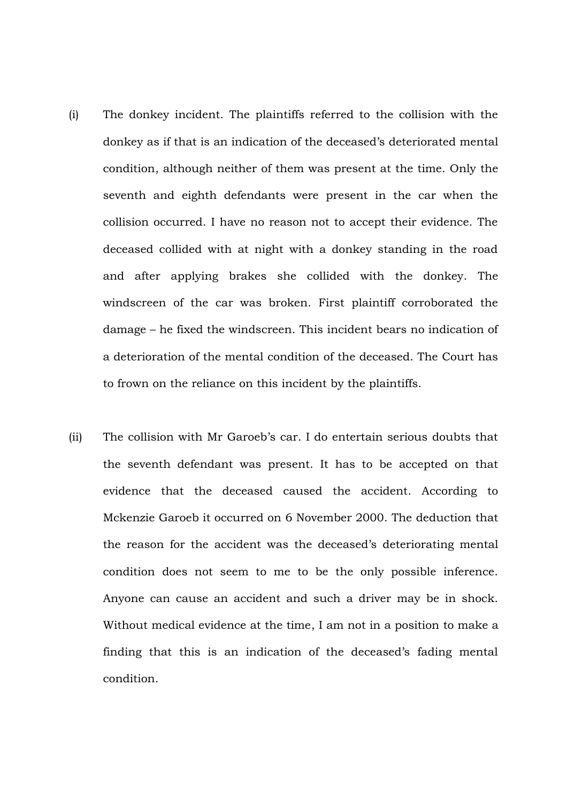- (i) The donkey incident. The plaintiffs referred to the collision with the donkey as if that is an indication of the deceased's deteriorated mental condition, although neither of them was present at the time. Only the seventh and eighth defendants were present in the car when the collision occurred. I have no reason not to accept their evidence. The deceased collided with at night with a donkey standing in the road and after applying brakes she collided with the donkey. The windscreen of the car was broken. First plaintiff corroborated the damage – he fixed the windscreen. This incident bears no indication of a deterioration of the mental condition of the deceased. The Court has to frown on the reliance on this incident by the plaintiffs.
- (ii) The collision with Mr Garoeb's car. I do entertain serious doubts that the seventh defendant was present. It has to be accepted on that evidence that the deceased caused the accident. According to Mckenzie Garoeb it occurred on 6 November 2000. The deduction that the reason for the accident was the deceased's deteriorating mental condition does not seem to me to be the only possible inference. Anyone can cause an accident and such a driver may be in shock. Without medical evidence at the time, I am not in a position to make a finding that this is an indication of the deceased's fading mental condition.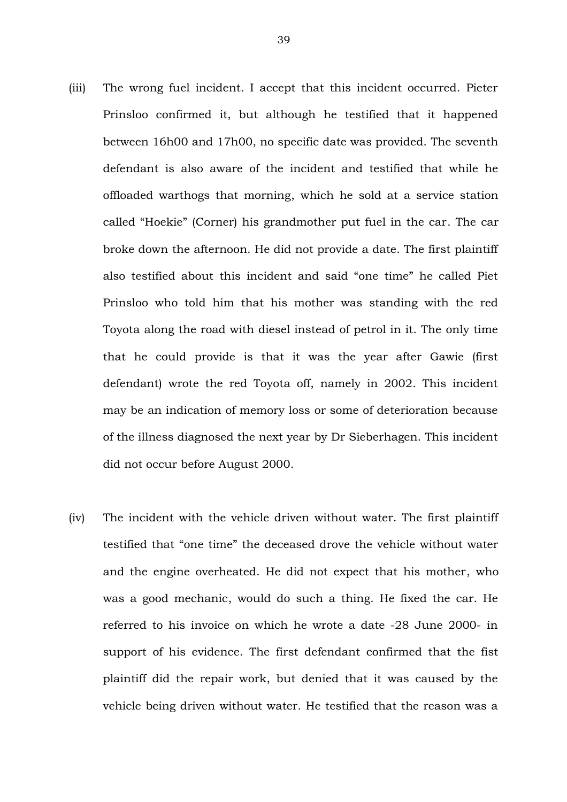- (iii) The wrong fuel incident. I accept that this incident occurred. Pieter Prinsloo confirmed it, but although he testified that it happened between 16h00 and 17h00, no specific date was provided. The seventh defendant is also aware of the incident and testified that while he offloaded warthogs that morning, which he sold at a service station called "Hoekie" (Corner) his grandmother put fuel in the car. The car broke down the afternoon. He did not provide a date. The first plaintiff also testified about this incident and said "one time" he called Piet Prinsloo who told him that his mother was standing with the red Toyota along the road with diesel instead of petrol in it. The only time that he could provide is that it was the year after Gawie (first defendant) wrote the red Toyota off, namely in 2002. This incident may be an indication of memory loss or some of deterioration because of the illness diagnosed the next year by Dr Sieberhagen. This incident did not occur before August 2000.
- (iv) The incident with the vehicle driven without water. The first plaintiff testified that "one time" the deceased drove the vehicle without water and the engine overheated. He did not expect that his mother, who was a good mechanic, would do such a thing. He fixed the car. He referred to his invoice on which he wrote a date -28 June 2000- in support of his evidence. The first defendant confirmed that the fist plaintiff did the repair work, but denied that it was caused by the vehicle being driven without water. He testified that the reason was a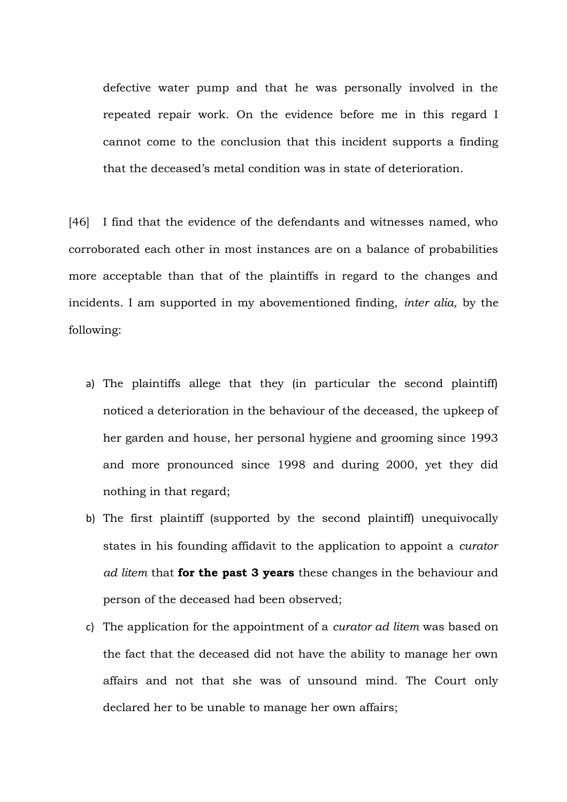defective water pump and that he was personally involved in the repeated repair work. On the evidence before me in this regard I cannot come to the conclusion that this incident supports a finding that the deceased's metal condition was in state of deterioration.

[46] I find that the evidence of the defendants and witnesses named, who corroborated each other in most instances are on a balance of probabilities more acceptable than that of the plaintiffs in regard to the changes and incidents. I am supported in my abovementioned finding, *inter alia,* by the following:

- a) The plaintiffs allege that they (in particular the second plaintiff) noticed a deterioration in the behaviour of the deceased, the upkeep of her garden and house, her personal hygiene and grooming since 1993 and more pronounced since 1998 and during 2000, yet they did nothing in that regard;
- b) The first plaintiff (supported by the second plaintiff) unequivocally states in his founding affidavit to the application to appoint a *curator ad litem* that **for the past 3 years** these changes in the behaviour and person of the deceased had been observed;
- c) The application for the appointment of a *curator ad litem* was based on the fact that the deceased did not have the ability to manage her own affairs and not that she was of unsound mind. The Court only declared her to be unable to manage her own affairs;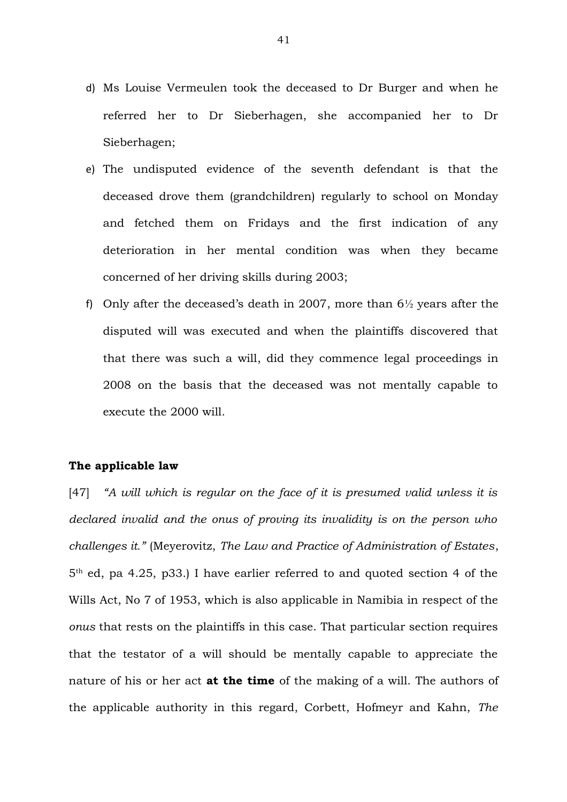- d) Ms Louise Vermeulen took the deceased to Dr Burger and when he referred her to Dr Sieberhagen, she accompanied her to Dr Sieberhagen;
- e) The undisputed evidence of the seventh defendant is that the deceased drove them (grandchildren) regularly to school on Monday and fetched them on Fridays and the first indication of any deterioration in her mental condition was when they became concerned of her driving skills during 2003;
- f) Only after the deceased's death in 2007, more than  $6\frac{1}{2}$  years after the disputed will was executed and when the plaintiffs discovered that that there was such a will, did they commence legal proceedings in 2008 on the basis that the deceased was not mentally capable to execute the 2000 will.

# **The applicable law**

[47] *"A will which is regular on the face of it is presumed valid unless it is declared invalid and the onus of proving its invalidity is on the person who challenges it."* (Meyerovitz, *The Law and Practice of Administration of Estates*, 5th ed, pa 4.25, p33.) I have earlier referred to and quoted section 4 of the Wills Act, No 7 of 1953, which is also applicable in Namibia in respect of the *onus* that rests on the plaintiffs in this case. That particular section requires that the testator of a will should be mentally capable to appreciate the nature of his or her act **at the time** of the making of a will. The authors of the applicable authority in this regard, Corbett, Hofmeyr and Kahn, *The*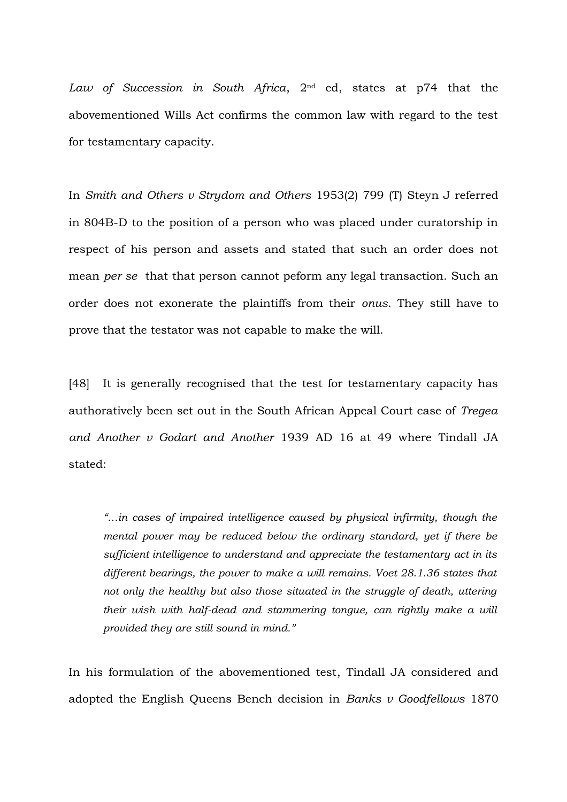*Law of Succession in South Africa*, 2nd ed, states at p74 that the abovementioned Wills Act confirms the common law with regard to the test for testamentary capacity.

In *Smith and Others v Strydom and Others* 1953(2) 799 (T) Steyn J referred in 804B-D to the position of a person who was placed under curatorship in respect of his person and assets and stated that such an order does not mean *per se* that that person cannot peform any legal transaction. Such an order does not exonerate the plaintiffs from their *onus*. They still have to prove that the testator was not capable to make the will.

[48] It is generally recognised that the test for testamentary capacity has authoratively been set out in the South African Appeal Court case of *Tregea and Another v Godart and Another* 1939 AD 16 at 49 where Tindall JA stated:

*"…in cases of impaired intelligence caused by physical infirmity, though the mental power may be reduced below the ordinary standard, yet if there be sufficient intelligence to understand and appreciate the testamentary act in its different bearings, the power to make a will remains. Voet 28.1.36 states that not only the healthy but also those situated in the struggle of death, uttering their wish with half-dead and stammering tongue, can rightly make a will provided they are still sound in mind."*

In his formulation of the abovementioned test, Tindall JA considered and adopted the English Queens Bench decision in *Banks v Goodfellows* 1870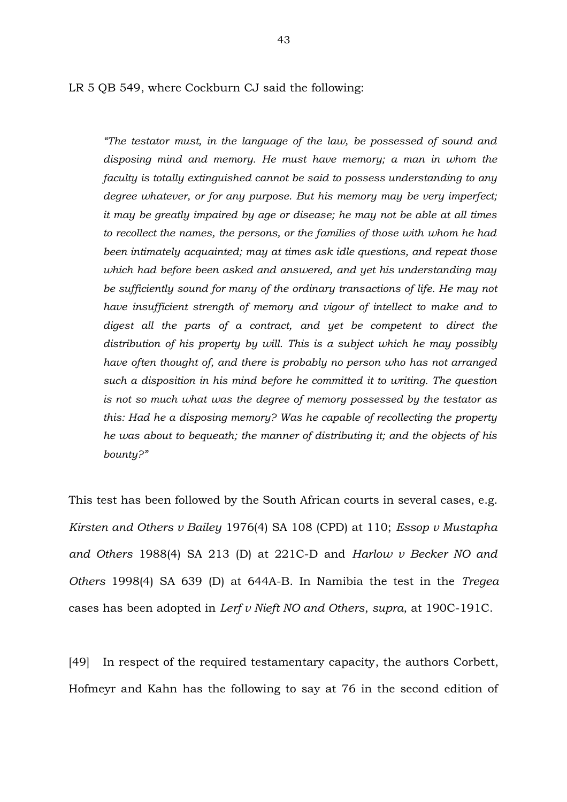LR 5 QB 549, where Cockburn CJ said the following:

*"The testator must, in the language of the law, be possessed of sound and disposing mind and memory. He must have memory; a man in whom the faculty is totally extinguished cannot be said to possess understanding to any degree whatever, or for any purpose. But his memory may be very imperfect; it may be greatly impaired by age or disease; he may not be able at all times to recollect the names, the persons, or the families of those with whom he had been intimately acquainted; may at times ask idle questions, and repeat those which had before been asked and answered, and yet his understanding may be sufficiently sound for many of the ordinary transactions of life. He may not have insufficient strength of memory and vigour of intellect to make and to digest all the parts of a contract, and yet be competent to direct the distribution of his property by will. This is a subject which he may possibly have often thought of, and there is probably no person who has not arranged such a disposition in his mind before he committed it to writing. The question is not so much what was the degree of memory possessed by the testator as this: Had he a disposing memory? Was he capable of recollecting the property he was about to bequeath; the manner of distributing it; and the objects of his bounty?"*

This test has been followed by the South African courts in several cases, e.g. *Kirsten and Others v Bailey* 1976(4) SA 108 (CPD) at 110; *Essop v Mustapha and Others* 1988(4) SA 213 (D) at 221C-D and *Harlow v Becker NO and Others* 1998(4) SA 639 (D) at 644A-B. In Namibia the test in the *Tregea* cases has been adopted in *Lerf v Nieft NO and Others*, *supra,* at 190C-191C.

[49] In respect of the required testamentary capacity, the authors Corbett, Hofmeyr and Kahn has the following to say at 76 in the second edition of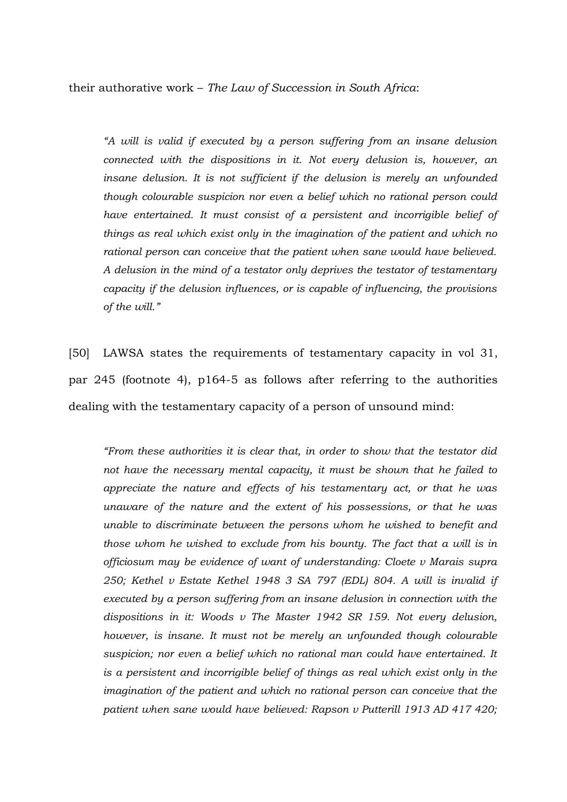their authorative work – *The Law of Succession in South Africa*:

*"A will is valid if executed by a person suffering from an insane delusion connected with the dispositions in it. Not every delusion is, however, an insane delusion. It is not sufficient if the delusion is merely an unfounded though colourable suspicion nor even a belief which no rational person could have entertained. It must consist of a persistent and incorrigible belief of things as real which exist only in the imagination of the patient and which no rational person can conceive that the patient when sane would have believed. A delusion in the mind of a testator only deprives the testator of testamentary capacity if the delusion influences, or is capable of influencing, the provisions of the will."*

[50] LAWSA states the requirements of testamentary capacity in vol 31, par 245 (footnote 4), p164-5 as follows after referring to the authorities dealing with the testamentary capacity of a person of unsound mind:

*"From these authorities it is clear that, in order to show that the testator did not have the necessary mental capacity, it must be shown that he failed to appreciate the nature and effects of his testamentary act, or that he was unaware of the nature and the extent of his possessions, or that he was unable to discriminate between the persons whom he wished to benefit and those whom he wished to exclude from his bounty. The fact that a will is in officiosum may be evidence of want of understanding: Cloete v Marais supra 250; Kethel v Estate Kethel 1948 3 SA 797 (EDL) 804. A will is invalid if executed by a person suffering from an insane delusion in connection with the dispositions in it: Woods v The Master 1942 SR 159. Not every delusion, however, is insane. It must not be merely an unfounded though colourable suspicion; nor even a belief which no rational man could have entertained. It is a persistent and incorrigible belief of things as real which exist only in the imagination of the patient and which no rational person can conceive that the patient when sane would have believed: Rapson v Putterill 1913 AD 417 420;*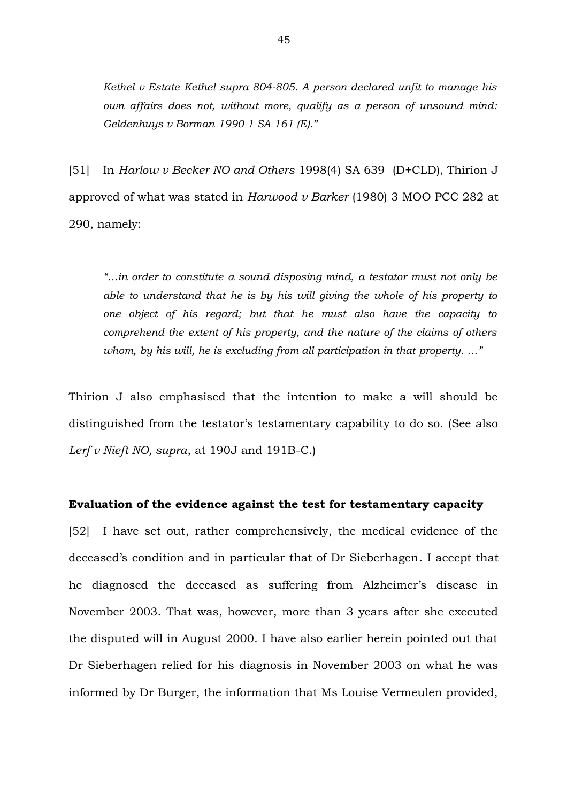*Kethel v Estate Kethel supra 804-805. A person declared unfit to manage his own affairs does not, without more, qualify as a person of unsound mind: Geldenhuys v Borman 1990 1 SA 161 (E)."*

[51] In *Harlow v Becker NO and Others* 1998(4) SA 639 (D+CLD), Thirion J approved of what was stated in *Harwood v Barker* (1980) 3 MOO PCC 282 at 290, namely:

*"…in order to constitute a sound disposing mind, a testator must not only be able to understand that he is by his will giving the whole of his property to one object of his regard; but that he must also have the capacity to comprehend the extent of his property, and the nature of the claims of others whom, by his will, he is excluding from all participation in that property. …"*

Thirion J also emphasised that the intention to make a will should be distinguished from the testator's testamentary capability to do so. (See also *Lerf v Nieft NO, supra*, at 190J and 191B-C.)

#### **Evaluation of the evidence against the test for testamentary capacity**

[52] I have set out, rather comprehensively, the medical evidence of the deceased's condition and in particular that of Dr Sieberhagen. I accept that he diagnosed the deceased as suffering from Alzheimer's disease in November 2003. That was, however, more than 3 years after she executed the disputed will in August 2000. I have also earlier herein pointed out that Dr Sieberhagen relied for his diagnosis in November 2003 on what he was informed by Dr Burger, the information that Ms Louise Vermeulen provided,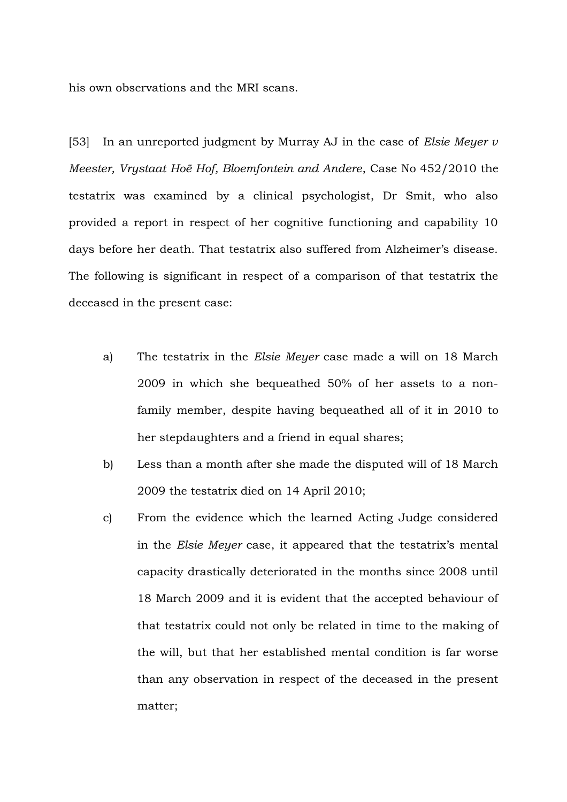his own observations and the MRI scans.

[53] In an unreported judgment by Murray AJ in the case of *Elsie Meyer v Meester, Vrystaat Hoë Hof, Bloemfontein and Andere*, Case No 452/2010 the testatrix was examined by a clinical psychologist, Dr Smit, who also provided a report in respect of her cognitive functioning and capability 10 days before her death. That testatrix also suffered from Alzheimer's disease. The following is significant in respect of a comparison of that testatrix the deceased in the present case:

- a) The testatrix in the *Elsie Meyer* case made a will on 18 March 2009 in which she bequeathed 50% of her assets to a nonfamily member, despite having bequeathed all of it in 2010 to her stepdaughters and a friend in equal shares;
- b) Less than a month after she made the disputed will of 18 March 2009 the testatrix died on 14 April 2010;
- c) From the evidence which the learned Acting Judge considered in the *Elsie Meyer* case, it appeared that the testatrix's mental capacity drastically deteriorated in the months since 2008 until 18 March 2009 and it is evident that the accepted behaviour of that testatrix could not only be related in time to the making of the will, but that her established mental condition is far worse than any observation in respect of the deceased in the present matter;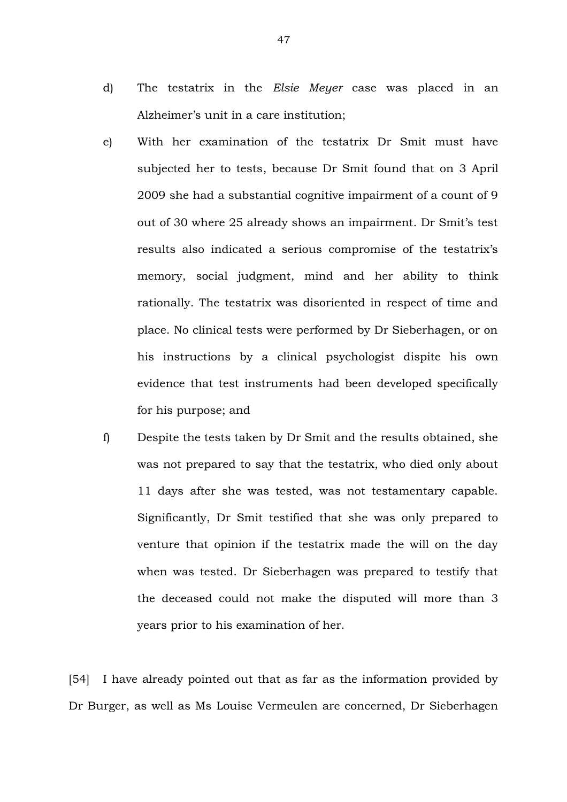- d) The testatrix in the *Elsie Meyer* case was placed in an Alzheimer's unit in a care institution;
- e) With her examination of the testatrix Dr Smit must have subjected her to tests, because Dr Smit found that on 3 April 2009 she had a substantial cognitive impairment of a count of 9 out of 30 where 25 already shows an impairment. Dr Smit's test results also indicated a serious compromise of the testatrix's memory, social judgment, mind and her ability to think rationally. The testatrix was disoriented in respect of time and place. No clinical tests were performed by Dr Sieberhagen, or on his instructions by a clinical psychologist dispite his own evidence that test instruments had been developed specifically for his purpose; and
- f) Despite the tests taken by Dr Smit and the results obtained, she was not prepared to say that the testatrix, who died only about 11 days after she was tested, was not testamentary capable. Significantly, Dr Smit testified that she was only prepared to venture that opinion if the testatrix made the will on the day when was tested. Dr Sieberhagen was prepared to testify that the deceased could not make the disputed will more than 3 years prior to his examination of her.

[54] I have already pointed out that as far as the information provided by Dr Burger, as well as Ms Louise Vermeulen are concerned, Dr Sieberhagen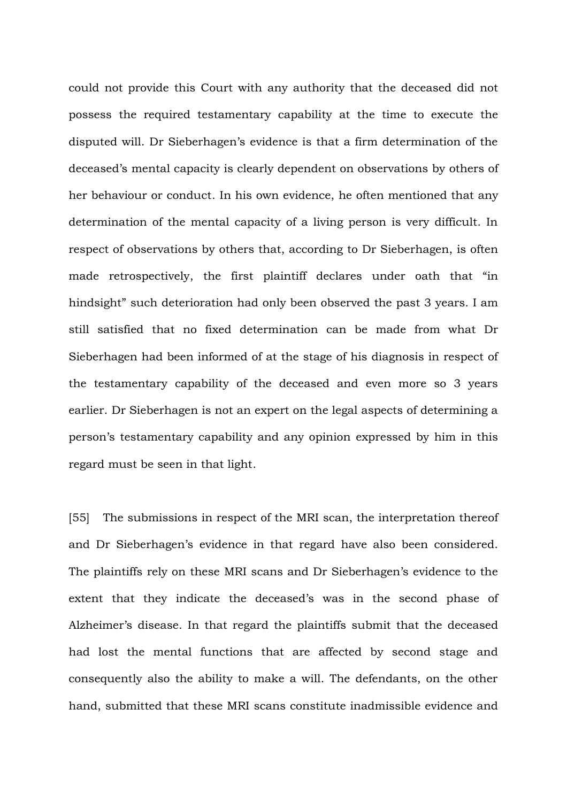could not provide this Court with any authority that the deceased did not possess the required testamentary capability at the time to execute the disputed will. Dr Sieberhagen's evidence is that a firm determination of the deceased's mental capacity is clearly dependent on observations by others of her behaviour or conduct. In his own evidence, he often mentioned that any determination of the mental capacity of a living person is very difficult. In respect of observations by others that, according to Dr Sieberhagen, is often made retrospectively, the first plaintiff declares under oath that "in hindsight" such deterioration had only been observed the past 3 years. I am still satisfied that no fixed determination can be made from what Dr Sieberhagen had been informed of at the stage of his diagnosis in respect of the testamentary capability of the deceased and even more so 3 years earlier. Dr Sieberhagen is not an expert on the legal aspects of determining a person's testamentary capability and any opinion expressed by him in this regard must be seen in that light.

[55] The submissions in respect of the MRI scan, the interpretation thereof and Dr Sieberhagen's evidence in that regard have also been considered. The plaintiffs rely on these MRI scans and Dr Sieberhagen's evidence to the extent that they indicate the deceased's was in the second phase of Alzheimer's disease. In that regard the plaintiffs submit that the deceased had lost the mental functions that are affected by second stage and consequently also the ability to make a will. The defendants, on the other hand, submitted that these MRI scans constitute inadmissible evidence and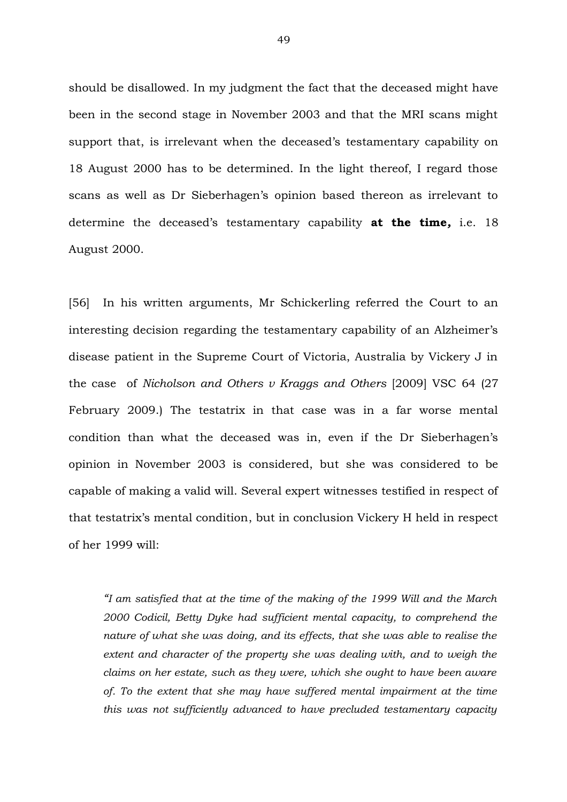should be disallowed. In my judgment the fact that the deceased might have been in the second stage in November 2003 and that the MRI scans might support that, is irrelevant when the deceased's testamentary capability on 18 August 2000 has to be determined. In the light thereof, I regard those scans as well as Dr Sieberhagen's opinion based thereon as irrelevant to determine the deceased's testamentary capability **at the time***,* i.e. 18 August 2000.

[56] In his written arguments, Mr Schickerling referred the Court to an interesting decision regarding the testamentary capability of an Alzheimer's disease patient in the Supreme Court of Victoria, Australia by Vickery J in the case of *Nicholson and Others v Kraggs and Others* [2009] VSC 64 (27 February 2009.) The testatrix in that case was in a far worse mental condition than what the deceased was in, even if the Dr Sieberhagen's opinion in November 2003 is considered, but she was considered to be capable of making a valid will. Several expert witnesses testified in respect of that testatrix's mental condition, but in conclusion Vickery H held in respect of her 1999 will:

*"I am satisfied that at the time of the making of the 1999 Will and the March 2000 Codicil, Betty Dyke had sufficient mental capacity, to comprehend the nature of what she was doing, and its effects, that she was able to realise the extent and character of the property she was dealing with, and to weigh the claims on her estate, such as they were, which she ought to have been aware of. To the extent that she may have suffered mental impairment at the time this was not sufficiently advanced to have precluded testamentary capacity*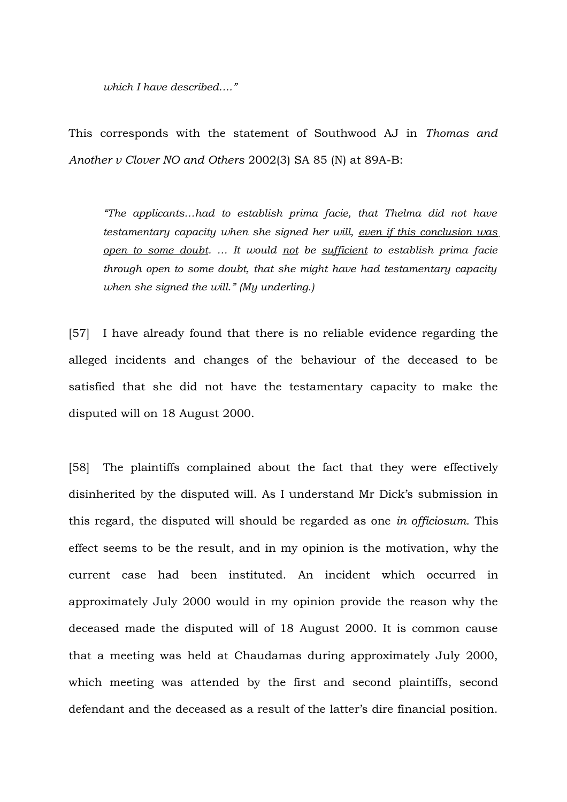*which I have described…."*

This corresponds with the statement of Southwood AJ in *Thomas and Another v Clover NO and Others* 2002(3) SA 85 (N) at 89A-B:

*"The applicants…had to establish prima facie, that Thelma did not have testamentary capacity when she signed her will, even if this conclusion was open to some doubt. … It would not be sufficient to establish prima facie through open to some doubt, that she might have had testamentary capacity when she signed the will." (My underling.)*

[57] I have already found that there is no reliable evidence regarding the alleged incidents and changes of the behaviour of the deceased to be satisfied that she did not have the testamentary capacity to make the disputed will on 18 August 2000.

[58] The plaintiffs complained about the fact that they were effectively disinherited by the disputed will. As I understand Mr Dick's submission in this regard, the disputed will should be regarded as one *in officiosum.* This effect seems to be the result, and in my opinion is the motivation, why the current case had been instituted. An incident which occurred in approximately July 2000 would in my opinion provide the reason why the deceased made the disputed will of 18 August 2000. It is common cause that a meeting was held at Chaudamas during approximately July 2000, which meeting was attended by the first and second plaintiffs, second defendant and the deceased as a result of the latter's dire financial position.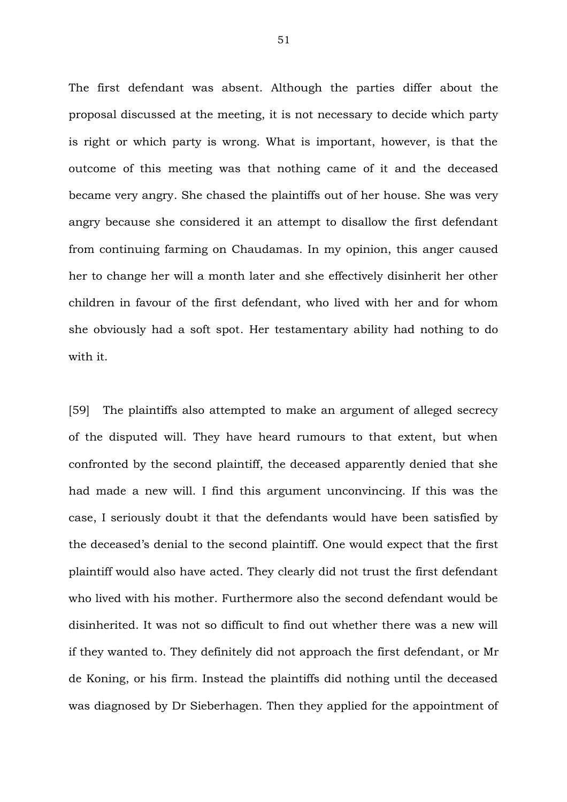The first defendant was absent. Although the parties differ about the proposal discussed at the meeting, it is not necessary to decide which party is right or which party is wrong. What is important, however, is that the outcome of this meeting was that nothing came of it and the deceased became very angry. She chased the plaintiffs out of her house. She was very angry because she considered it an attempt to disallow the first defendant from continuing farming on Chaudamas. In my opinion, this anger caused her to change her will a month later and she effectively disinherit her other children in favour of the first defendant, who lived with her and for whom she obviously had a soft spot. Her testamentary ability had nothing to do with it.

[59] The plaintiffs also attempted to make an argument of alleged secrecy of the disputed will. They have heard rumours to that extent, but when confronted by the second plaintiff, the deceased apparently denied that she had made a new will. I find this argument unconvincing. If this was the case, I seriously doubt it that the defendants would have been satisfied by the deceased's denial to the second plaintiff. One would expect that the first plaintiff would also have acted. They clearly did not trust the first defendant who lived with his mother. Furthermore also the second defendant would be disinherited. It was not so difficult to find out whether there was a new will if they wanted to. They definitely did not approach the first defendant, or Mr de Koning, or his firm. Instead the plaintiffs did nothing until the deceased was diagnosed by Dr Sieberhagen. Then they applied for the appointment of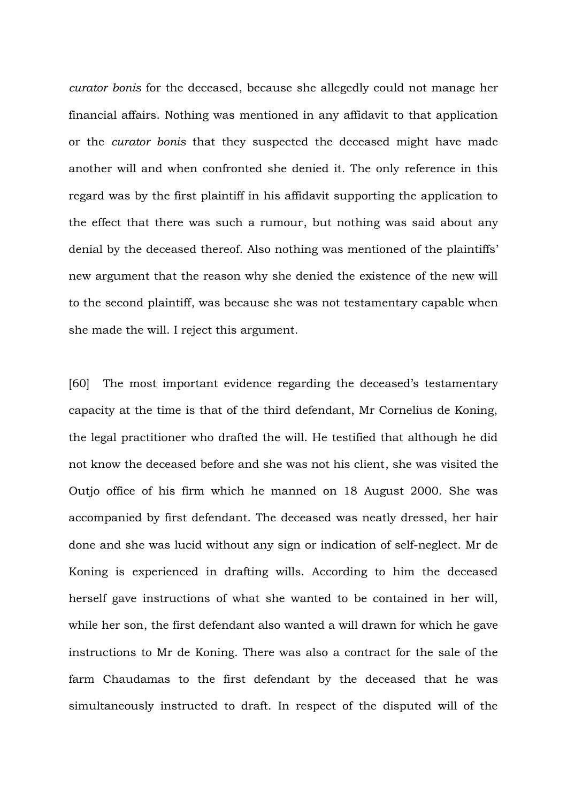*curator bonis* for the deceased, because she allegedly could not manage her financial affairs. Nothing was mentioned in any affidavit to that application or the *curator bonis* that they suspected the deceased might have made another will and when confronted she denied it. The only reference in this regard was by the first plaintiff in his affidavit supporting the application to the effect that there was such a rumour, but nothing was said about any denial by the deceased thereof. Also nothing was mentioned of the plaintiffs' new argument that the reason why she denied the existence of the new will to the second plaintiff, was because she was not testamentary capable when she made the will. I reject this argument.

[60] The most important evidence regarding the deceased's testamentary capacity at the time is that of the third defendant, Mr Cornelius de Koning, the legal practitioner who drafted the will. He testified that although he did not know the deceased before and she was not his client, she was visited the Outjo office of his firm which he manned on 18 August 2000. She was accompanied by first defendant. The deceased was neatly dressed, her hair done and she was lucid without any sign or indication of self-neglect. Mr de Koning is experienced in drafting wills. According to him the deceased herself gave instructions of what she wanted to be contained in her will, while her son, the first defendant also wanted a will drawn for which he gave instructions to Mr de Koning. There was also a contract for the sale of the farm Chaudamas to the first defendant by the deceased that he was simultaneously instructed to draft. In respect of the disputed will of the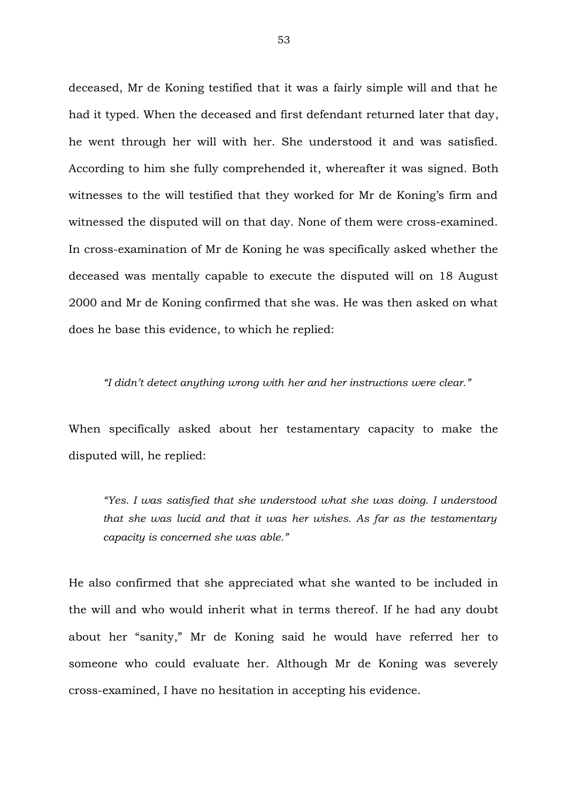deceased, Mr de Koning testified that it was a fairly simple will and that he had it typed. When the deceased and first defendant returned later that day, he went through her will with her. She understood it and was satisfied. According to him she fully comprehended it, whereafter it was signed. Both witnesses to the will testified that they worked for Mr de Koning's firm and witnessed the disputed will on that day. None of them were cross-examined. In cross-examination of Mr de Koning he was specifically asked whether the deceased was mentally capable to execute the disputed will on 18 August 2000 and Mr de Koning confirmed that she was. He was then asked on what does he base this evidence, to which he replied:

*"I didn't detect anything wrong with her and her instructions were clear."*

When specifically asked about her testamentary capacity to make the disputed will, he replied:

*"Yes. I was satisfied that she understood what she was doing. I understood that she was lucid and that it was her wishes. As far as the testamentary capacity is concerned she was able."*

He also confirmed that she appreciated what she wanted to be included in the will and who would inherit what in terms thereof. If he had any doubt about her "sanity," Mr de Koning said he would have referred her to someone who could evaluate her. Although Mr de Koning was severely cross-examined, I have no hesitation in accepting his evidence.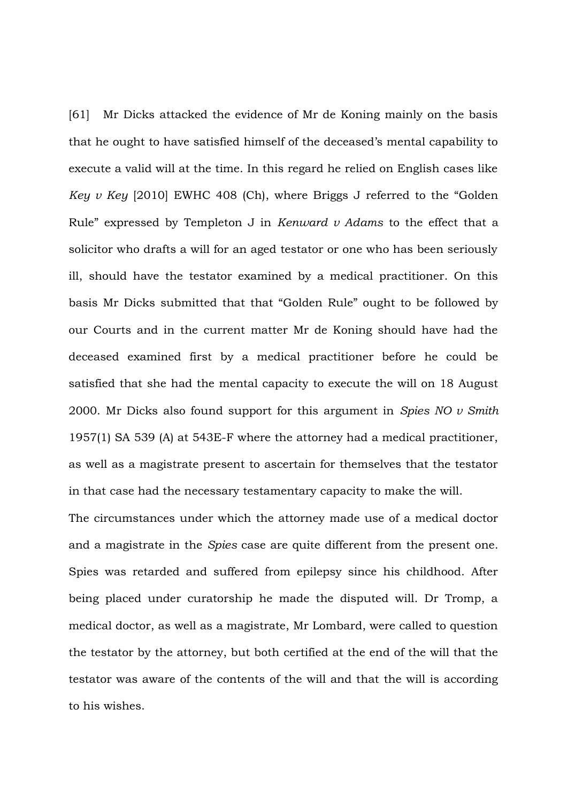[61] Mr Dicks attacked the evidence of Mr de Koning mainly on the basis that he ought to have satisfied himself of the deceased's mental capability to execute a valid will at the time. In this regard he relied on English cases like *Key v Key* [2010] EWHC 408 (Ch), where Briggs J referred to the "Golden Rule" expressed by Templeton J in *Kenward v Adams* to the effect that a solicitor who drafts a will for an aged testator or one who has been seriously ill, should have the testator examined by a medical practitioner. On this basis Mr Dicks submitted that that "Golden Rule" ought to be followed by our Courts and in the current matter Mr de Koning should have had the deceased examined first by a medical practitioner before he could be satisfied that she had the mental capacity to execute the will on 18 August 2000. Mr Dicks also found support for this argument in *Spies NO v Smith* 1957(1) SA 539 (A) at 543E-F where the attorney had a medical practitioner, as well as a magistrate present to ascertain for themselves that the testator in that case had the necessary testamentary capacity to make the will.

The circumstances under which the attorney made use of a medical doctor and a magistrate in the *Spies* case are quite different from the present one. Spies was retarded and suffered from epilepsy since his childhood. After being placed under curatorship he made the disputed will. Dr Tromp, a medical doctor, as well as a magistrate, Mr Lombard, were called to question the testator by the attorney, but both certified at the end of the will that the testator was aware of the contents of the will and that the will is according to his wishes.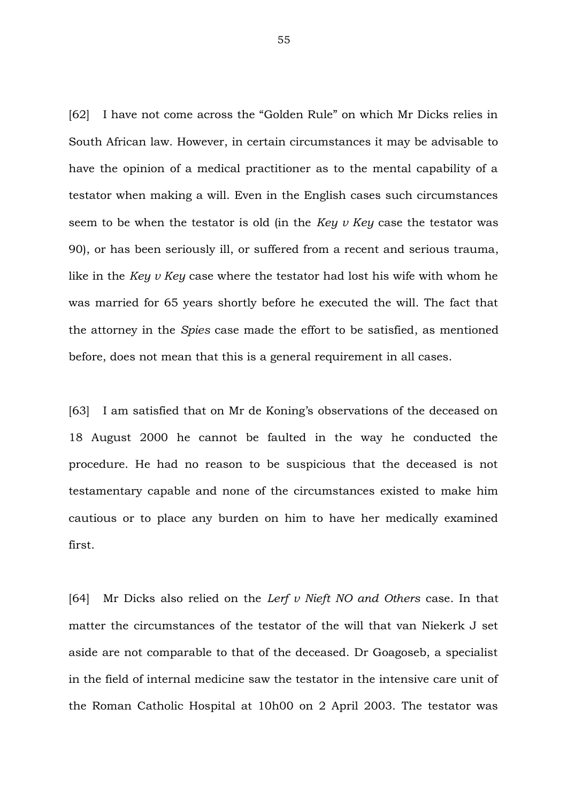[62] I have not come across the "Golden Rule" on which Mr Dicks relies in South African law. However, in certain circumstances it may be advisable to have the opinion of a medical practitioner as to the mental capability of a testator when making a will. Even in the English cases such circumstances seem to be when the testator is old (in the *Key v Key* case the testator was 90), or has been seriously ill, or suffered from a recent and serious trauma, like in the *Key v Key* case where the testator had lost his wife with whom he was married for 65 years shortly before he executed the will. The fact that the attorney in the *Spies* case made the effort to be satisfied, as mentioned before, does not mean that this is a general requirement in all cases.

[63] I am satisfied that on Mr de Koning's observations of the deceased on 18 August 2000 he cannot be faulted in the way he conducted the procedure. He had no reason to be suspicious that the deceased is not testamentary capable and none of the circumstances existed to make him cautious or to place any burden on him to have her medically examined first.

[64] Mr Dicks also relied on the *Lerf v Nieft NO and Others* case. In that matter the circumstances of the testator of the will that van Niekerk J set aside are not comparable to that of the deceased. Dr Goagoseb, a specialist in the field of internal medicine saw the testator in the intensive care unit of the Roman Catholic Hospital at 10h00 on 2 April 2003. The testator was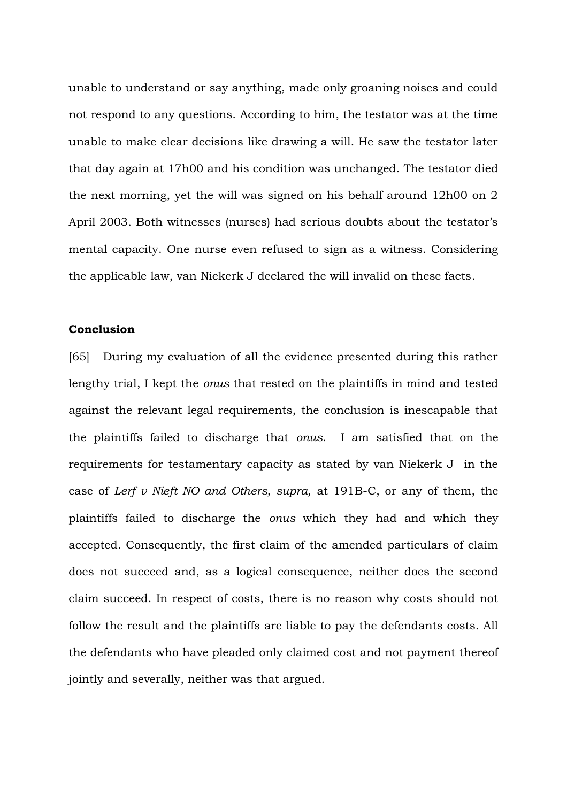unable to understand or say anything, made only groaning noises and could not respond to any questions. According to him, the testator was at the time unable to make clear decisions like drawing a will. He saw the testator later that day again at 17h00 and his condition was unchanged. The testator died the next morning, yet the will was signed on his behalf around 12h00 on 2 April 2003. Both witnesses (nurses) had serious doubts about the testator's mental capacity. One nurse even refused to sign as a witness. Considering the applicable law, van Niekerk J declared the will invalid on these facts.

## **Conclusion**

[65] During my evaluation of all the evidence presented during this rather lengthy trial, I kept the *onus* that rested on the plaintiffs in mind and tested against the relevant legal requirements, the conclusion is inescapable that the plaintiffs failed to discharge that *onus*. I am satisfied that on the requirements for testamentary capacity as stated by van Niekerk J in the case of *Lerf v Nieft NO and Others, supra,* at 191B-C, or any of them, the plaintiffs failed to discharge the *onus* which they had and which they accepted. Consequently, the first claim of the amended particulars of claim does not succeed and, as a logical consequence, neither does the second claim succeed. In respect of costs, there is no reason why costs should not follow the result and the plaintiffs are liable to pay the defendants costs. All the defendants who have pleaded only claimed cost and not payment thereof jointly and severally, neither was that argued.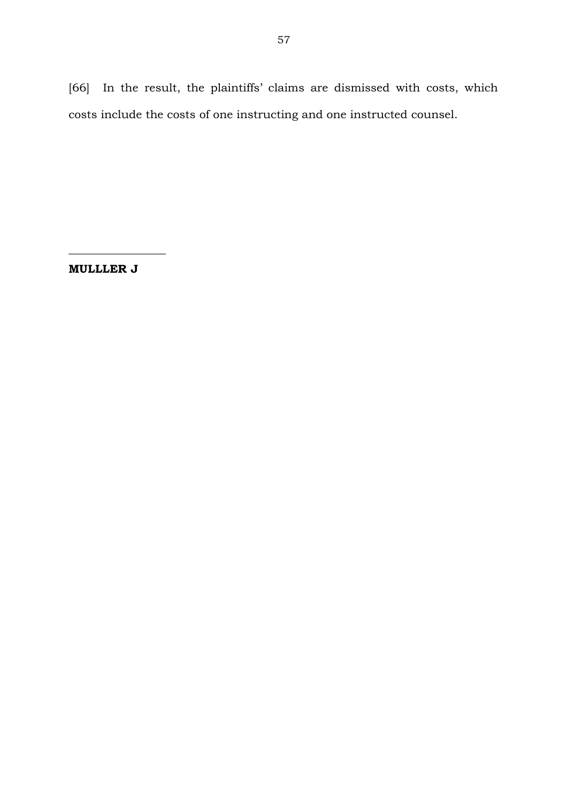[66] In the result, the plaintiffs' claims are dismissed with costs, which costs include the costs of one instructing and one instructed counsel.

**MULLLER J**

 $\frac{1}{2}$  ,  $\frac{1}{2}$  ,  $\frac{1}{2}$  ,  $\frac{1}{2}$  ,  $\frac{1}{2}$  ,  $\frac{1}{2}$  ,  $\frac{1}{2}$